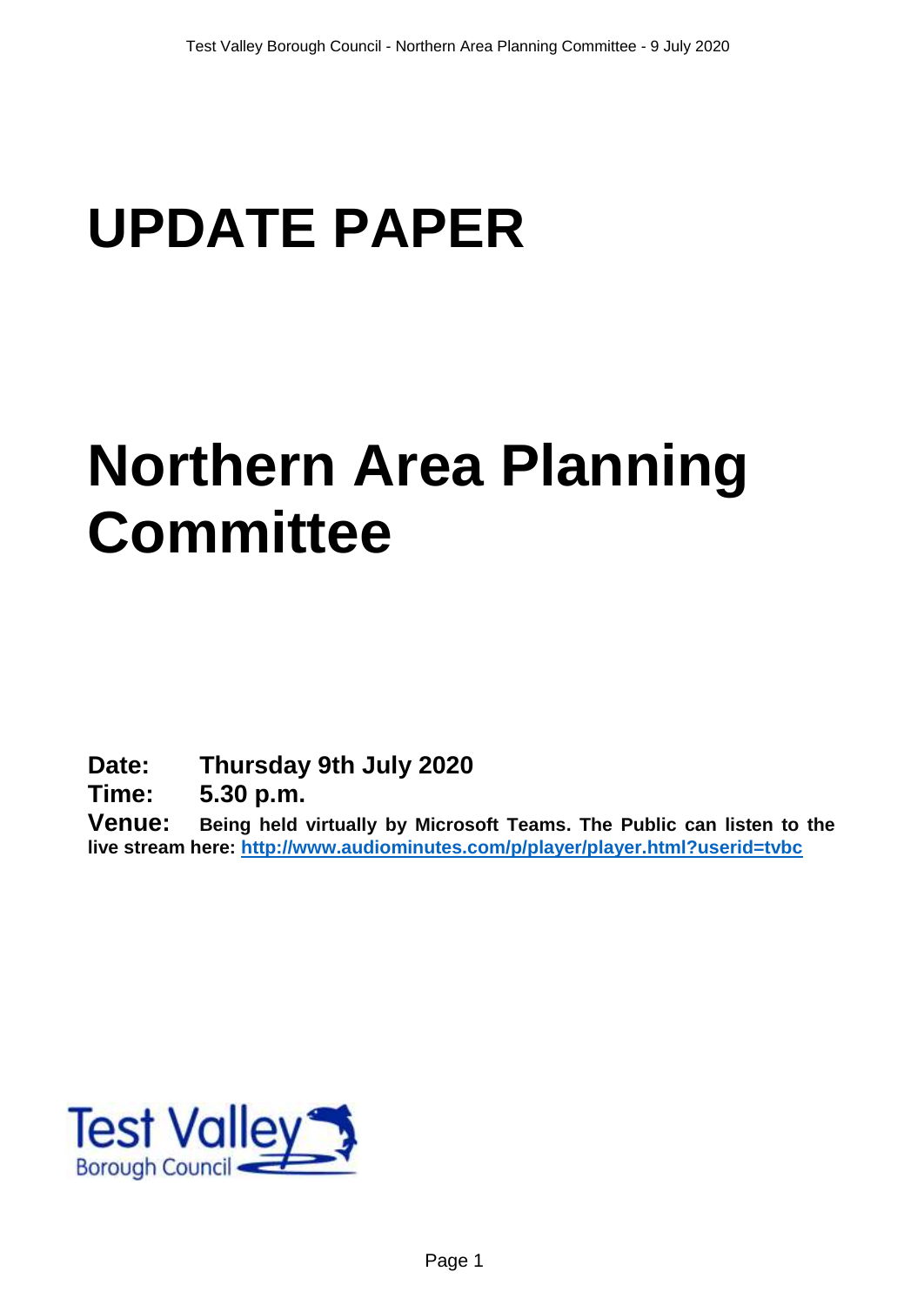# **UPDATE PAPER**

# **Northern Area Planning Committee**

**Date: Thursday 9th July 2020**

**Time: 5.30 p.m.**

**Venue: Being held virtually by Microsoft Teams. The Public can listen to the live stream here:<http://www.audiominutes.com/p/player/player.html?userid=tvbc>**

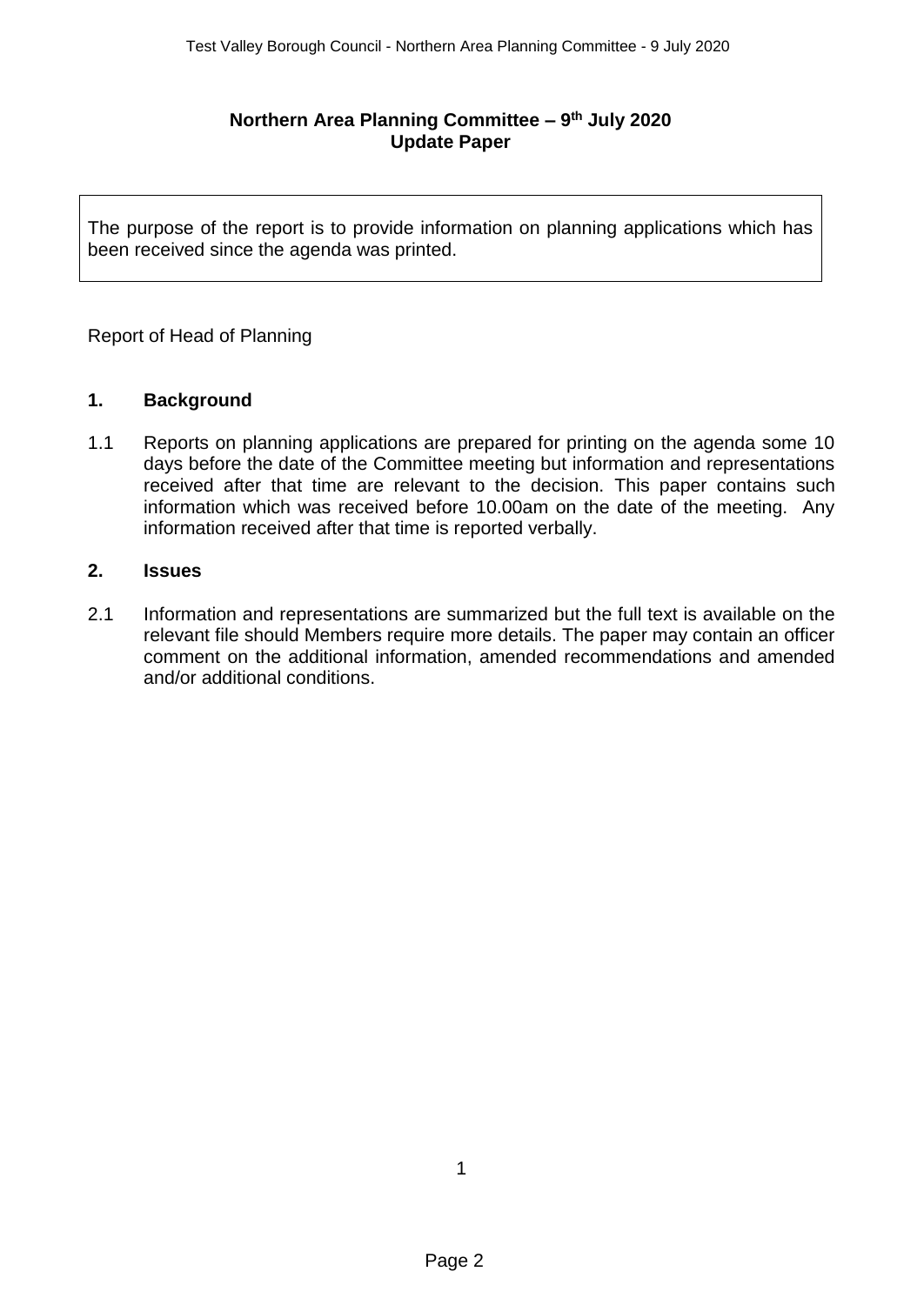# **Northern Area Planning Committee – 9 th July 2020 Update Paper**

The purpose of the report is to provide information on planning applications which has been received since the agenda was printed.

Report of Head of Planning

## **1. Background**

1.1 Reports on planning applications are prepared for printing on the agenda some 10 days before the date of the Committee meeting but information and representations received after that time are relevant to the decision. This paper contains such information which was received before 10.00am on the date of the meeting. Any information received after that time is reported verbally.

#### **2. Issues**

2.1 Information and representations are summarized but the full text is available on the relevant file should Members require more details. The paper may contain an officer comment on the additional information, amended recommendations and amended and/or additional conditions.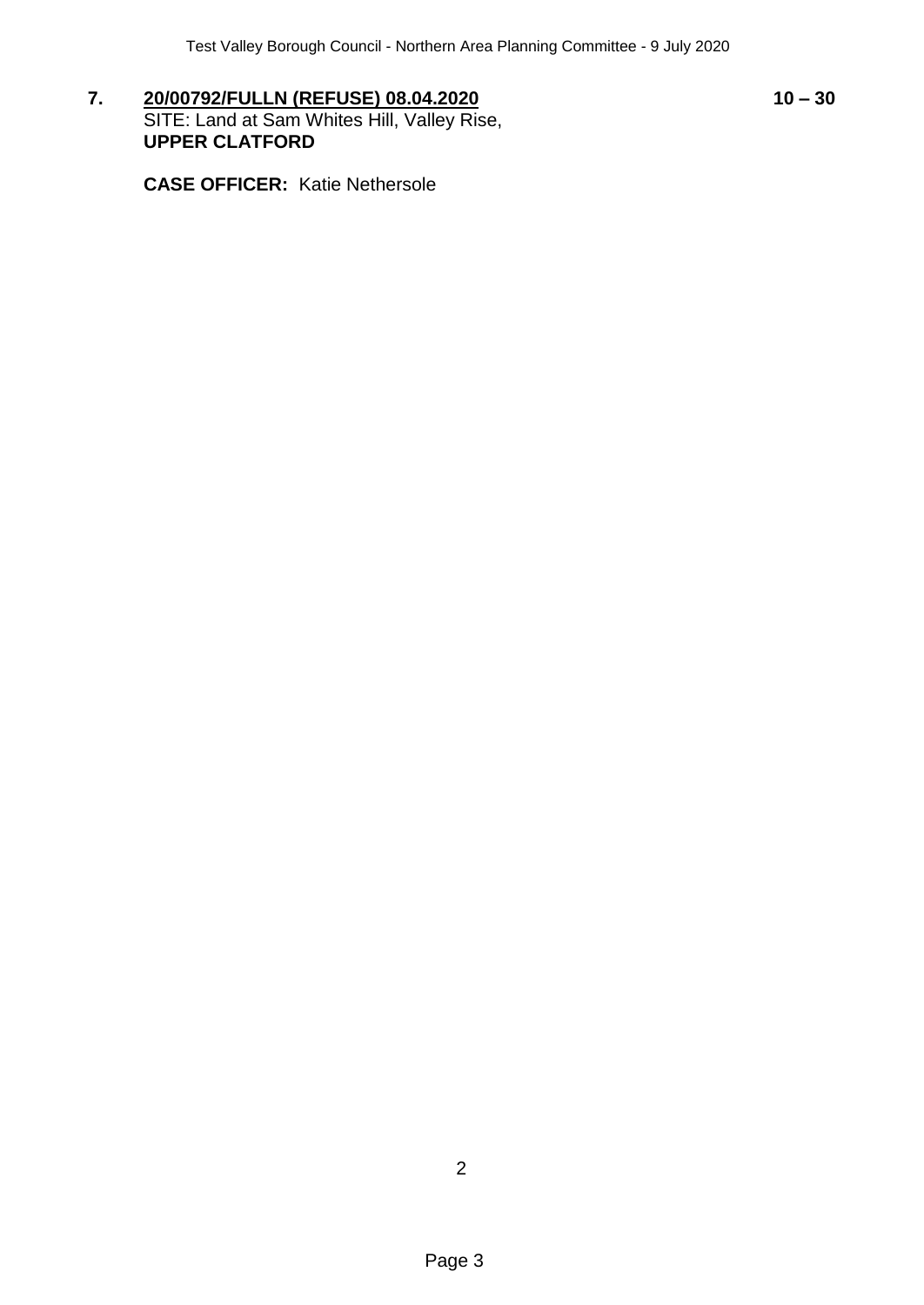**7. 20/00792/FULLN (REFUSE) 08.04.2020 10 – 30** SITE: Land at Sam Whites Hill, Valley Rise, **UPPER CLATFORD**

**CASE OFFICER:** Katie Nethersole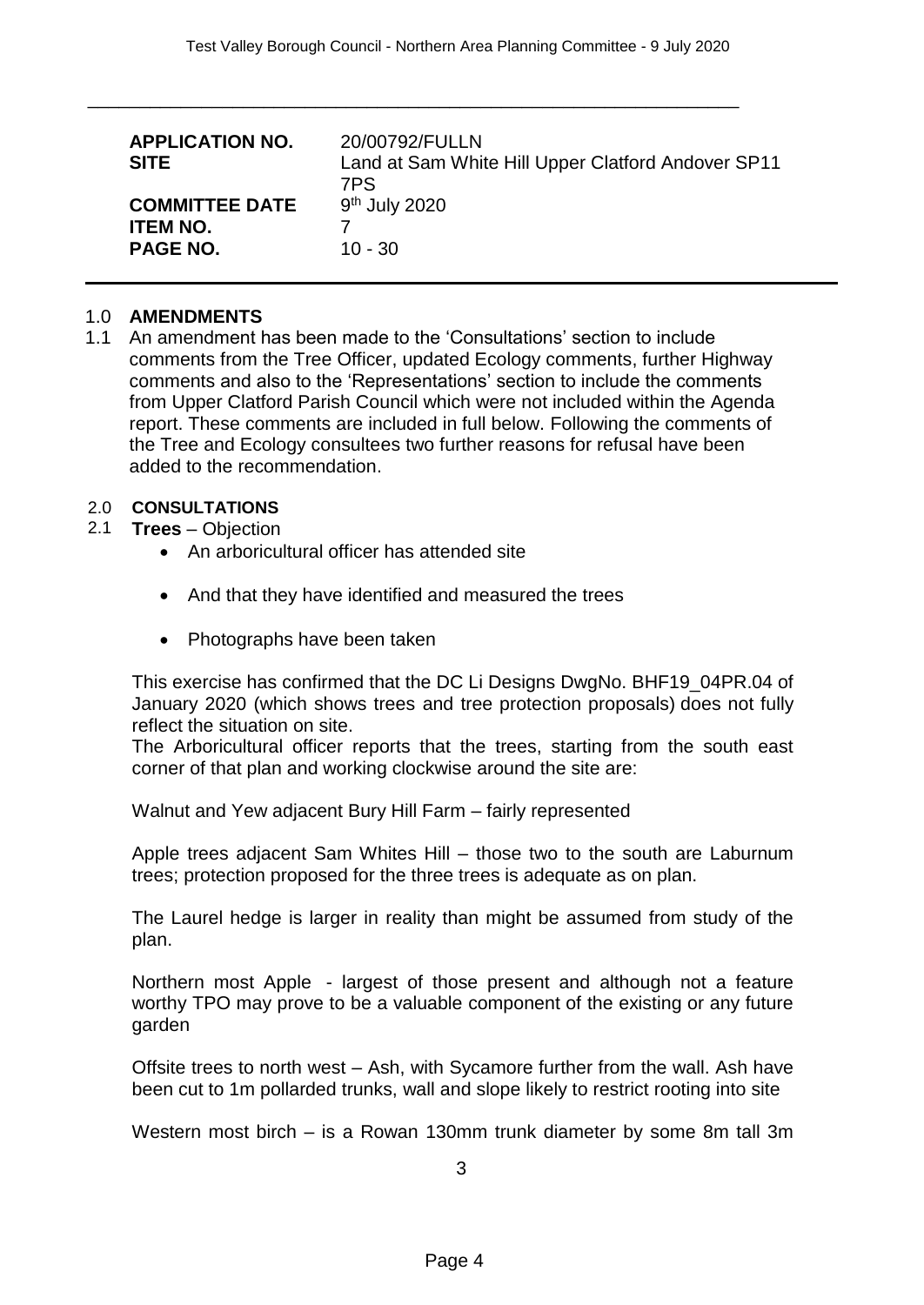| <b>APPLICATION NO.</b><br><b>SITE</b>                | 20/00792/FULLN<br>Land at Sam White Hill Upper Clatford Andover SP11<br>7PS |
|------------------------------------------------------|-----------------------------------------------------------------------------|
| <b>COMMITTEE DATE</b><br>ITEM NO.<br><b>PAGE NO.</b> | 9 <sup>th</sup> July 2020<br>$10 - 30$                                      |

\_\_\_\_\_\_\_\_\_\_\_\_\_\_\_\_\_\_\_\_\_\_\_\_\_\_\_\_\_\_\_\_\_\_\_\_\_\_\_\_\_\_\_\_\_\_\_\_\_\_\_\_\_\_\_\_\_\_\_\_\_\_\_

#### 1.0 **AMENDMENTS**

1.1 An amendment has been made to the 'Consultations' section to include comments from the Tree Officer, updated Ecology comments, further Highway comments and also to the 'Representations' section to include the comments from Upper Clatford Parish Council which were not included within the Agenda report. These comments are included in full below. Following the comments of the Tree and Ecology consultees two further reasons for refusal have been added to the recommendation.

#### 2.0 **CONSULTATIONS**

- 2.1 **Trees**  Objection
	- An arboricultural officer has attended site
	- And that they have identified and measured the trees
	- Photographs have been taken

This exercise has confirmed that the DC Li Designs DwgNo. BHF19\_04PR.04 of January 2020 (which shows trees and tree protection proposals) does not fully reflect the situation on site.

The Arboricultural officer reports that the trees, starting from the south east corner of that plan and working clockwise around the site are:

Walnut and Yew adjacent Bury Hill Farm – fairly represented

Apple trees adjacent Sam Whites Hill – those two to the south are Laburnum trees; protection proposed for the three trees is adequate as on plan.

The Laurel hedge is larger in reality than might be assumed from study of the plan.

Northern most Apple - largest of those present and although not a feature worthy TPO may prove to be a valuable component of the existing or any future garden

Offsite trees to north west – Ash, with Sycamore further from the wall. Ash have been cut to 1m pollarded trunks, wall and slope likely to restrict rooting into site

Western most birch – is a Rowan 130mm trunk diameter by some 8m tall 3m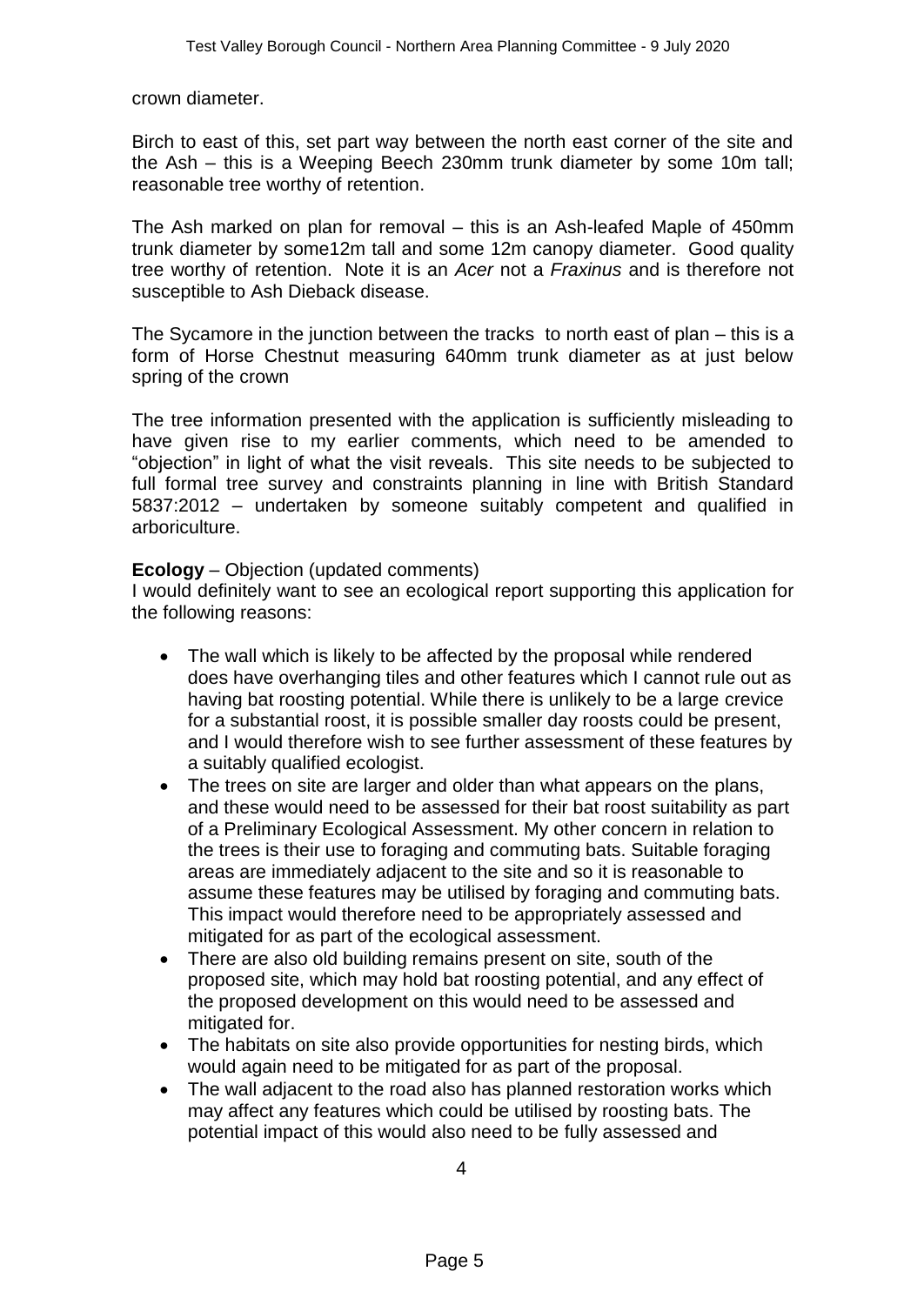crown diameter.

Birch to east of this, set part way between the north east corner of the site and the Ash – this is a Weeping Beech 230mm trunk diameter by some 10m tall; reasonable tree worthy of retention.

The Ash marked on plan for removal – this is an Ash-leafed Maple of 450mm trunk diameter by some12m tall and some 12m canopy diameter. Good quality tree worthy of retention. Note it is an *Acer* not a *Fraxinus* and is therefore not susceptible to Ash Dieback disease.

The Sycamore in the junction between the tracks to north east of plan – this is a form of Horse Chestnut measuring 640mm trunk diameter as at just below spring of the crown

The tree information presented with the application is sufficiently misleading to have given rise to my earlier comments, which need to be amended to "objection" in light of what the visit reveals. This site needs to be subjected to full formal tree survey and constraints planning in line with British Standard 5837:2012 – undertaken by someone suitably competent and qualified in arboriculture.

## **Ecology** – Objection (updated comments)

I would definitely want to see an ecological report supporting this application for the following reasons:

- The wall which is likely to be affected by the proposal while rendered does have overhanging tiles and other features which I cannot rule out as having bat roosting potential. While there is unlikely to be a large crevice for a substantial roost, it is possible smaller day roosts could be present, and I would therefore wish to see further assessment of these features by a suitably qualified ecologist.
- The trees on site are larger and older than what appears on the plans, and these would need to be assessed for their bat roost suitability as part of a Preliminary Ecological Assessment. My other concern in relation to the trees is their use to foraging and commuting bats. Suitable foraging areas are immediately adjacent to the site and so it is reasonable to assume these features may be utilised by foraging and commuting bats. This impact would therefore need to be appropriately assessed and mitigated for as part of the ecological assessment.
- There are also old building remains present on site, south of the proposed site, which may hold bat roosting potential, and any effect of the proposed development on this would need to be assessed and mitigated for.
- The habitats on site also provide opportunities for nesting birds, which would again need to be mitigated for as part of the proposal.
- The wall adjacent to the road also has planned restoration works which may affect any features which could be utilised by roosting bats. The potential impact of this would also need to be fully assessed and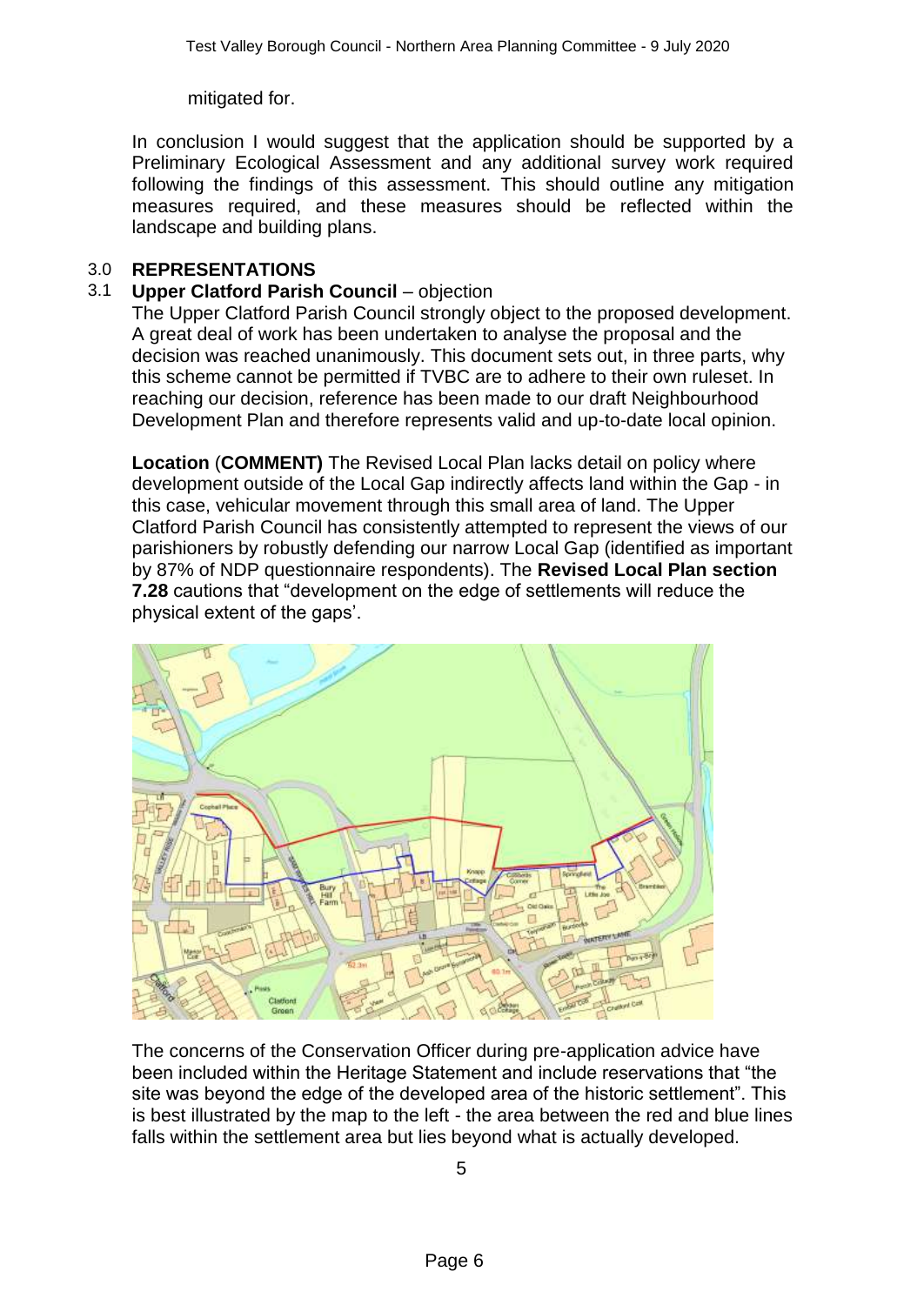mitigated for.

In conclusion I would suggest that the application should be supported by a Preliminary Ecological Assessment and any additional survey work required following the findings of this assessment. This should outline any mitigation measures required, and these measures should be reflected within the landscape and building plans.

# 3.0 **REPRESENTATIONS**

# 3.1 **Upper Clatford Parish Council** – objection

The Upper Clatford Parish Council strongly object to the proposed development. A great deal of work has been undertaken to analyse the proposal and the decision was reached unanimously. This document sets out, in three parts, why this scheme cannot be permitted if TVBC are to adhere to their own ruleset. In reaching our decision, reference has been made to our draft Neighbourhood Development Plan and therefore represents valid and up-to-date local opinion.

**Location** (**COMMENT)** The Revised Local Plan lacks detail on policy where development outside of the Local Gap indirectly affects land within the Gap - in this case, vehicular movement through this small area of land. The Upper Clatford Parish Council has consistently attempted to represent the views of our parishioners by robustly defending our narrow Local Gap (identified as important by 87% of NDP questionnaire respondents). The **Revised Local Plan section 7.28** cautions that "development on the edge of settlements will reduce the physical extent of the gaps'.



The concerns of the Conservation Officer during pre-application advice have been included within the Heritage Statement and include reservations that "the site was beyond the edge of the developed area of the historic settlement". This is best illustrated by the map to the left - the area between the red and blue lines falls within the settlement area but lies beyond what is actually developed.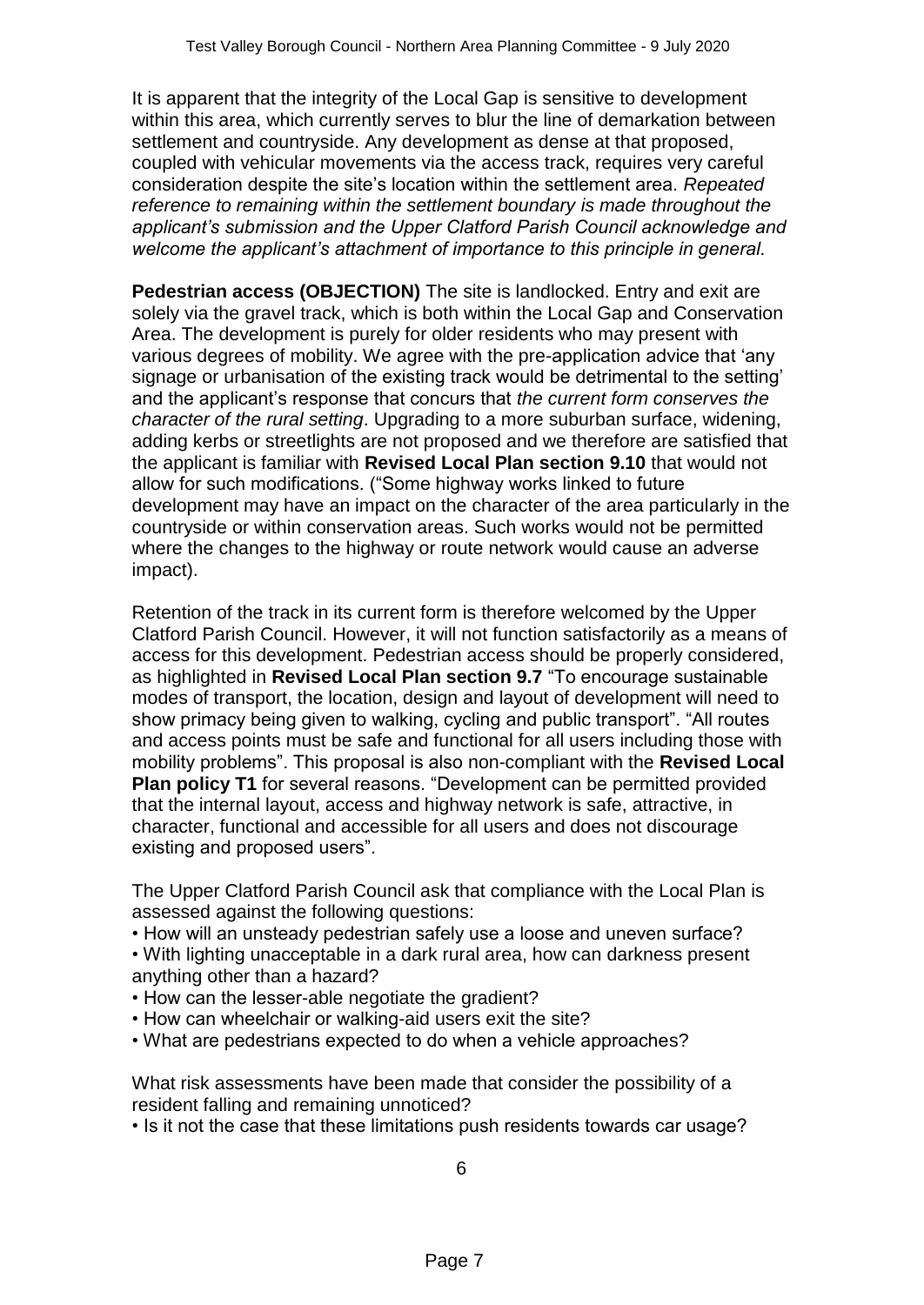It is apparent that the integrity of the Local Gap is sensitive to development within this area, which currently serves to blur the line of demarkation between settlement and countryside. Any development as dense at that proposed, coupled with vehicular movements via the access track, requires very careful consideration despite the site's location within the settlement area. *Repeated reference to remaining within the settlement boundary is made throughout the applicant's submission and the Upper Clatford Parish Council acknowledge and welcome the applicant's attachment of importance to this principle in general.*

**Pedestrian access (OBJECTION)** The site is landlocked. Entry and exit are solely via the gravel track, which is both within the Local Gap and Conservation Area. The development is purely for older residents who may present with various degrees of mobility. We agree with the pre-application advice that 'any signage or urbanisation of the existing track would be detrimental to the setting' and the applicant's response that concurs that *the current form conserves the character of the rural setting*. Upgrading to a more suburban surface, widening, adding kerbs or streetlights are not proposed and we therefore are satisfied that the applicant is familiar with **Revised Local Plan section 9.10** that would not allow for such modifications. ("Some highway works linked to future development may have an impact on the character of the area particularly in the countryside or within conservation areas. Such works would not be permitted where the changes to the highway or route network would cause an adverse impact).

Retention of the track in its current form is therefore welcomed by the Upper Clatford Parish Council. However, it will not function satisfactorily as a means of access for this development. Pedestrian access should be properly considered, as highlighted in **Revised Local Plan section 9.7** "To encourage sustainable modes of transport, the location, design and layout of development will need to show primacy being given to walking, cycling and public transport". "All routes and access points must be safe and functional for all users including those with mobility problems". This proposal is also non-compliant with the **Revised Local Plan policy T1** for several reasons. "Development can be permitted provided that the internal layout, access and highway network is safe, attractive, in character, functional and accessible for all users and does not discourage existing and proposed users".

The Upper Clatford Parish Council ask that compliance with the Local Plan is assessed against the following questions:

• How will an unsteady pedestrian safely use a loose and uneven surface?

- With lighting unacceptable in a dark rural area, how can darkness present anything other than a hazard?
- How can the lesser-able negotiate the gradient?
- How can wheelchair or walking-aid users exit the site?
- What are pedestrians expected to do when a vehicle approaches?

What risk assessments have been made that consider the possibility of a resident falling and remaining unnoticed?

• Is it not the case that these limitations push residents towards car usage?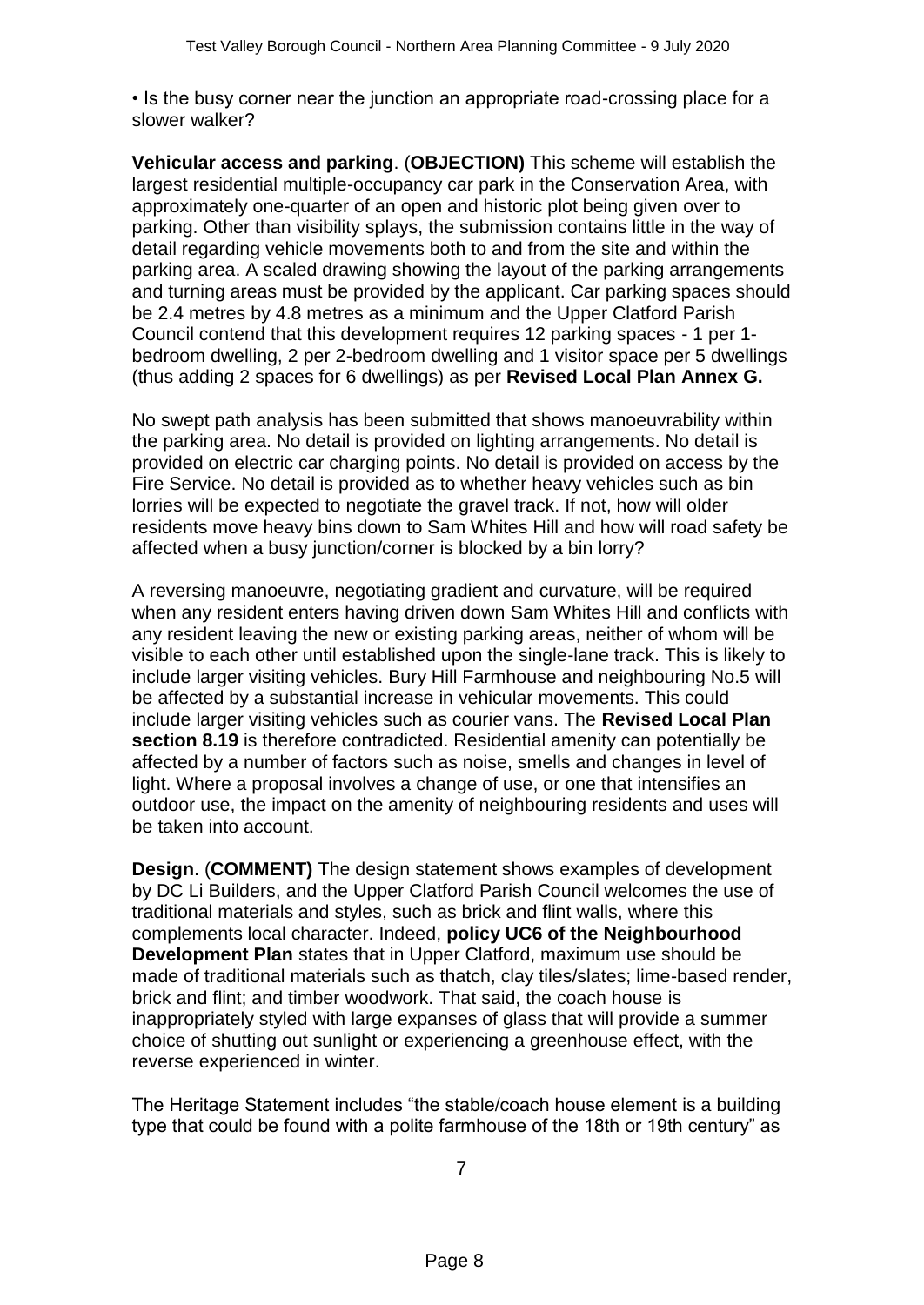• Is the busy corner near the junction an appropriate road-crossing place for a slower walker?

**Vehicular access and parking**. (**OBJECTION)** This scheme will establish the largest residential multiple-occupancy car park in the Conservation Area, with approximately one-quarter of an open and historic plot being given over to parking. Other than visibility splays, the submission contains little in the way of detail regarding vehicle movements both to and from the site and within the parking area. A scaled drawing showing the layout of the parking arrangements and turning areas must be provided by the applicant. Car parking spaces should be 2.4 metres by 4.8 metres as a minimum and the Upper Clatford Parish Council contend that this development requires 12 parking spaces - 1 per 1 bedroom dwelling, 2 per 2-bedroom dwelling and 1 visitor space per 5 dwellings (thus adding 2 spaces for 6 dwellings) as per **Revised Local Plan Annex G.**

No swept path analysis has been submitted that shows manoeuvrability within the parking area. No detail is provided on lighting arrangements. No detail is provided on electric car charging points. No detail is provided on access by the Fire Service. No detail is provided as to whether heavy vehicles such as bin lorries will be expected to negotiate the gravel track. If not, how will older residents move heavy bins down to Sam Whites Hill and how will road safety be affected when a busy junction/corner is blocked by a bin lorry?

A reversing manoeuvre, negotiating gradient and curvature, will be required when any resident enters having driven down Sam Whites Hill and conflicts with any resident leaving the new or existing parking areas, neither of whom will be visible to each other until established upon the single-lane track. This is likely to include larger visiting vehicles. Bury Hill Farmhouse and neighbouring No.5 will be affected by a substantial increase in vehicular movements. This could include larger visiting vehicles such as courier vans. The **Revised Local Plan section 8.19** is therefore contradicted. Residential amenity can potentially be affected by a number of factors such as noise, smells and changes in level of light. Where a proposal involves a change of use, or one that intensifies an outdoor use, the impact on the amenity of neighbouring residents and uses will be taken into account.

**Design**. (**COMMENT)** The design statement shows examples of development by DC Li Builders, and the Upper Clatford Parish Council welcomes the use of traditional materials and styles, such as brick and flint walls, where this complements local character. Indeed, **policy UC6 of the Neighbourhood Development Plan** states that in Upper Clatford, maximum use should be made of traditional materials such as thatch, clay tiles/slates; lime-based render, brick and flint; and timber woodwork. That said, the coach house is inappropriately styled with large expanses of glass that will provide a summer choice of shutting out sunlight or experiencing a greenhouse effect, with the reverse experienced in winter.

The Heritage Statement includes "the stable/coach house element is a building type that could be found with a polite farmhouse of the 18th or 19th century" as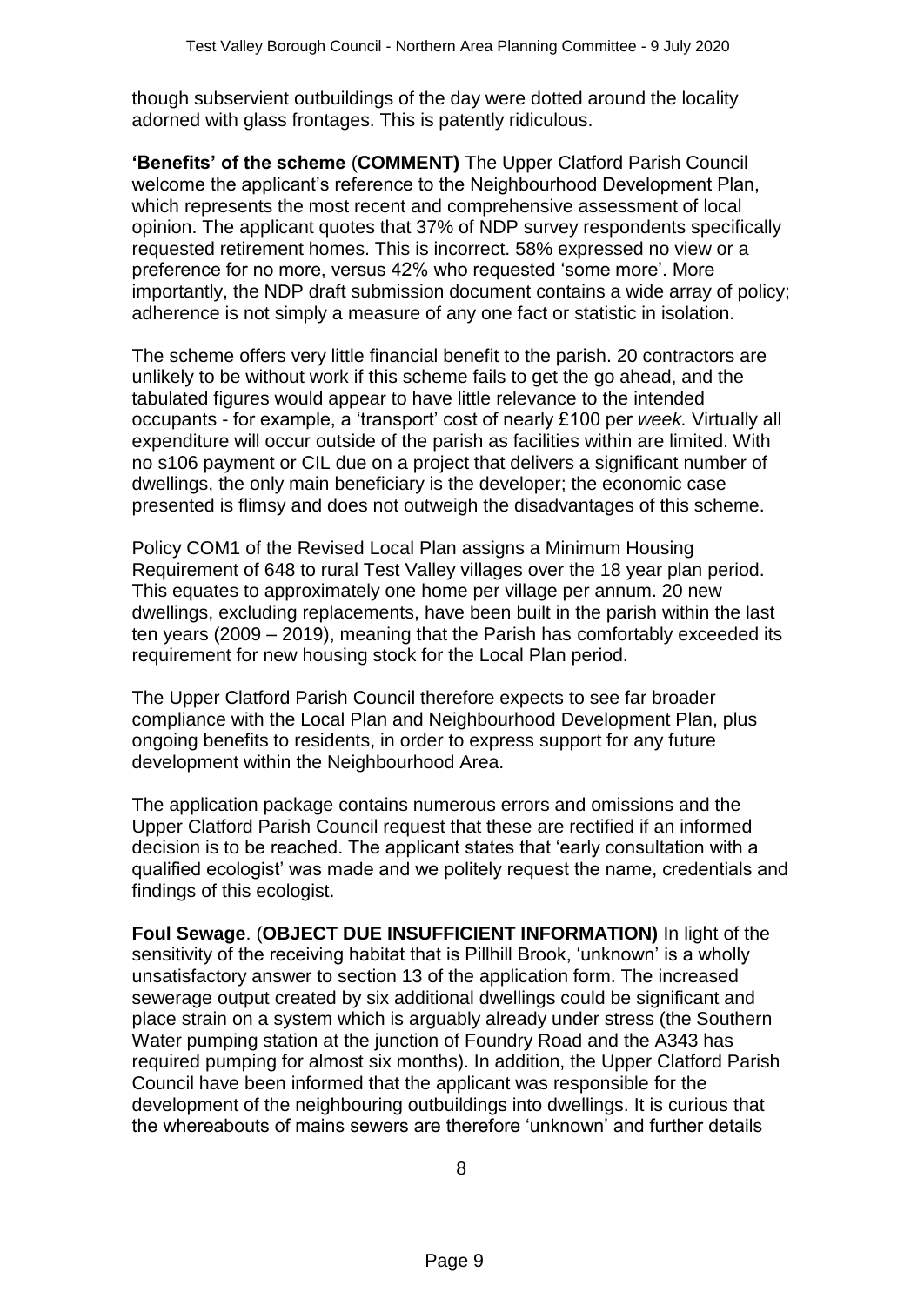though subservient outbuildings of the day were dotted around the locality adorned with glass frontages. This is patently ridiculous.

**'Benefits' of the scheme** (**COMMENT)** The Upper Clatford Parish Council welcome the applicant's reference to the Neighbourhood Development Plan, which represents the most recent and comprehensive assessment of local opinion. The applicant quotes that 37% of NDP survey respondents specifically requested retirement homes. This is incorrect. 58% expressed no view or a preference for no more, versus 42% who requested 'some more'. More importantly, the NDP draft submission document contains a wide array of policy; adherence is not simply a measure of any one fact or statistic in isolation.

The scheme offers very little financial benefit to the parish. 20 contractors are unlikely to be without work if this scheme fails to get the go ahead, and the tabulated figures would appear to have little relevance to the intended occupants - for example, a 'transport' cost of nearly £100 per *week.* Virtually all expenditure will occur outside of the parish as facilities within are limited. With no s106 payment or CIL due on a project that delivers a significant number of dwellings, the only main beneficiary is the developer; the economic case presented is flimsy and does not outweigh the disadvantages of this scheme.

Policy COM1 of the Revised Local Plan assigns a Minimum Housing Requirement of 648 to rural Test Valley villages over the 18 year plan period. This equates to approximately one home per village per annum. 20 new dwellings, excluding replacements, have been built in the parish within the last ten years (2009 – 2019), meaning that the Parish has comfortably exceeded its requirement for new housing stock for the Local Plan period.

The Upper Clatford Parish Council therefore expects to see far broader compliance with the Local Plan and Neighbourhood Development Plan, plus ongoing benefits to residents, in order to express support for any future development within the Neighbourhood Area.

The application package contains numerous errors and omissions and the Upper Clatford Parish Council request that these are rectified if an informed decision is to be reached. The applicant states that 'early consultation with a qualified ecologist' was made and we politely request the name, credentials and findings of this ecologist.

**Foul Sewage**. (**OBJECT DUE INSUFFICIENT INFORMATION)** In light of the sensitivity of the receiving habitat that is Pillhill Brook, 'unknown' is a wholly unsatisfactory answer to section 13 of the application form. The increased sewerage output created by six additional dwellings could be significant and place strain on a system which is arguably already under stress (the Southern Water pumping station at the junction of Foundry Road and the A343 has required pumping for almost six months). In addition, the Upper Clatford Parish Council have been informed that the applicant was responsible for the development of the neighbouring outbuildings into dwellings. It is curious that the whereabouts of mains sewers are therefore 'unknown' and further details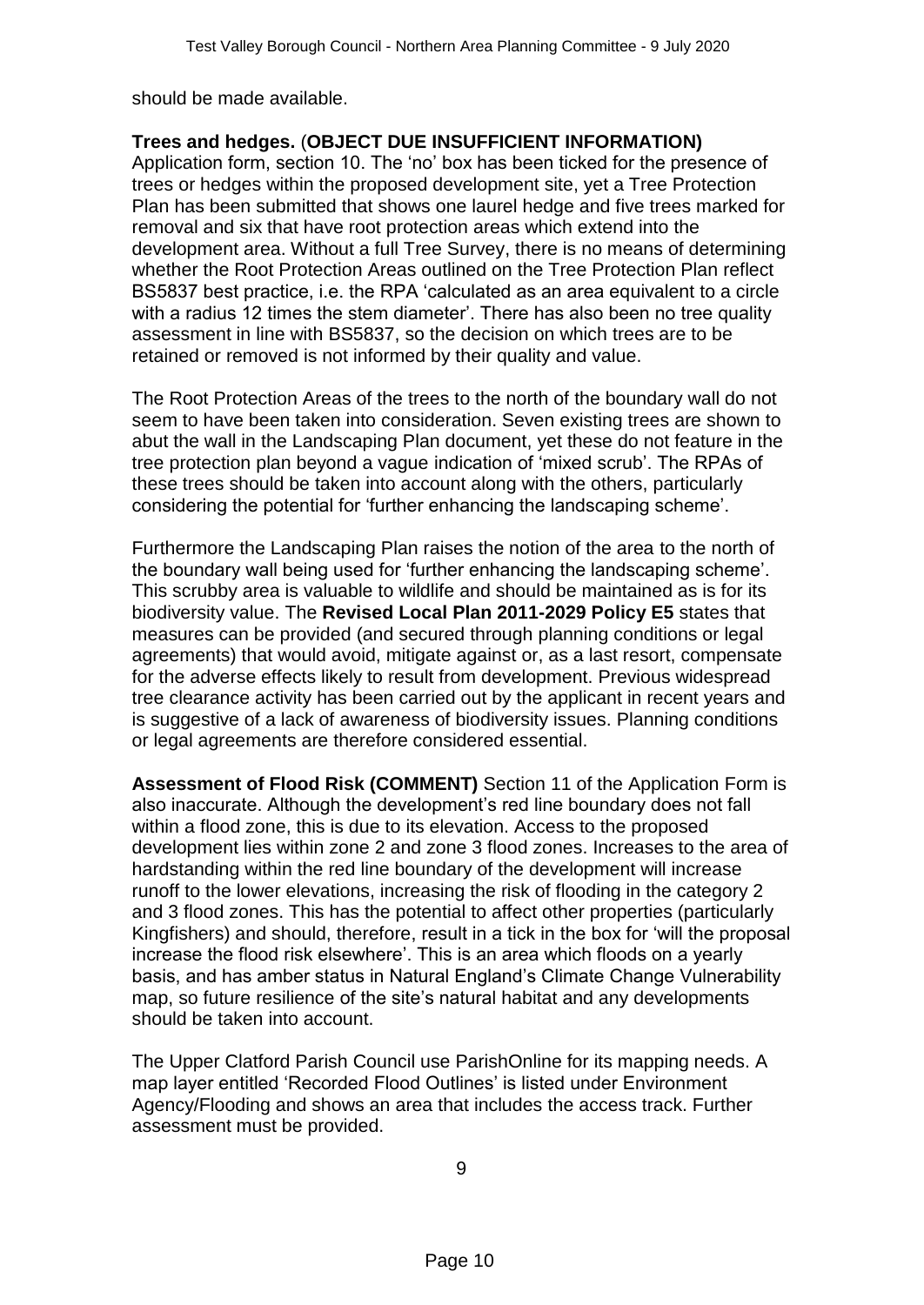should be made available.

# **Trees and hedges.** (**OBJECT DUE INSUFFICIENT INFORMATION)**

Application form, section 10. The 'no' box has been ticked for the presence of trees or hedges within the proposed development site, yet a Tree Protection Plan has been submitted that shows one laurel hedge and five trees marked for removal and six that have root protection areas which extend into the development area. Without a full Tree Survey, there is no means of determining whether the Root Protection Areas outlined on the Tree Protection Plan reflect BS5837 best practice, i.e. the RPA 'calculated as an area equivalent to a circle with a radius 12 times the stem diameter'. There has also been no tree quality assessment in line with BS5837, so the decision on which trees are to be retained or removed is not informed by their quality and value.

The Root Protection Areas of the trees to the north of the boundary wall do not seem to have been taken into consideration. Seven existing trees are shown to abut the wall in the Landscaping Plan document, yet these do not feature in the tree protection plan beyond a vague indication of 'mixed scrub'. The RPAs of these trees should be taken into account along with the others, particularly considering the potential for 'further enhancing the landscaping scheme'.

Furthermore the Landscaping Plan raises the notion of the area to the north of the boundary wall being used for 'further enhancing the landscaping scheme'. This scrubby area is valuable to wildlife and should be maintained as is for its biodiversity value. The **Revised Local Plan 2011-2029 Policy E5** states that measures can be provided (and secured through planning conditions or legal agreements) that would avoid, mitigate against or, as a last resort, compensate for the adverse effects likely to result from development. Previous widespread tree clearance activity has been carried out by the applicant in recent years and is suggestive of a lack of awareness of biodiversity issues. Planning conditions or legal agreements are therefore considered essential.

**Assessment of Flood Risk (COMMENT)** Section 11 of the Application Form is also inaccurate. Although the development's red line boundary does not fall within a flood zone, this is due to its elevation. Access to the proposed development lies within zone 2 and zone 3 flood zones. Increases to the area of hardstanding within the red line boundary of the development will increase runoff to the lower elevations, increasing the risk of flooding in the category 2 and 3 flood zones. This has the potential to affect other properties (particularly Kingfishers) and should, therefore, result in a tick in the box for 'will the proposal increase the flood risk elsewhere'. This is an area which floods on a yearly basis, and has amber status in Natural England's Climate Change Vulnerability map, so future resilience of the site's natural habitat and any developments should be taken into account.

The Upper Clatford Parish Council use ParishOnline for its mapping needs. A map layer entitled 'Recorded Flood Outlines' is listed under Environment Agency/Flooding and shows an area that includes the access track. Further assessment must be provided.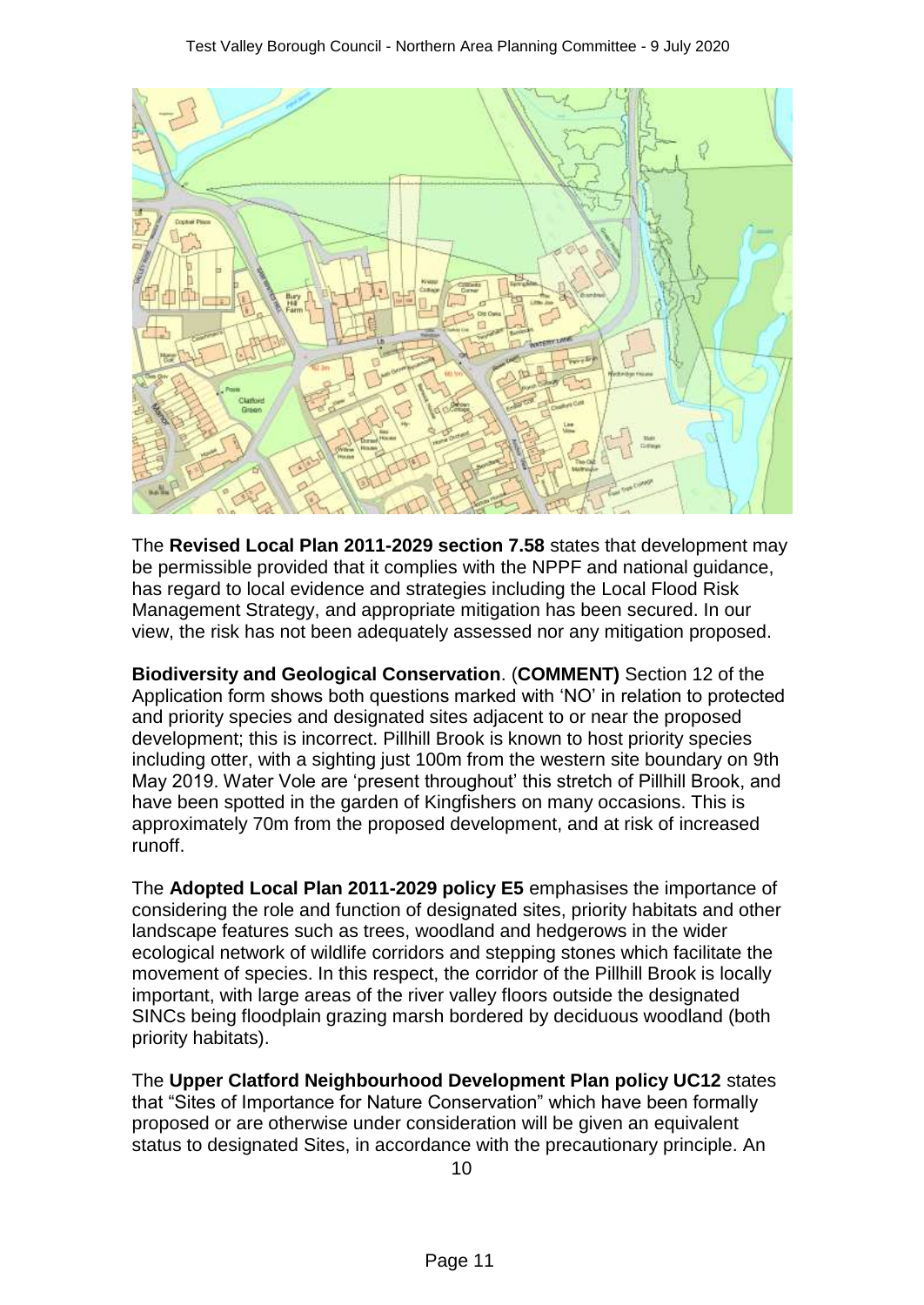

The **Revised Local Plan 2011-2029 section 7.58** states that development may be permissible provided that it complies with the NPPF and national guidance, has regard to local evidence and strategies including the Local Flood Risk Management Strategy, and appropriate mitigation has been secured. In our view, the risk has not been adequately assessed nor any mitigation proposed.

**Biodiversity and Geological Conservation**. (**COMMENT)** Section 12 of the Application form shows both questions marked with 'NO' in relation to protected and priority species and designated sites adjacent to or near the proposed development; this is incorrect. Pillhill Brook is known to host priority species including otter, with a sighting just 100m from the western site boundary on 9th May 2019. Water Vole are 'present throughout' this stretch of Pillhill Brook, and have been spotted in the garden of Kingfishers on many occasions. This is approximately 70m from the proposed development, and at risk of increased runoff.

The **Adopted Local Plan 2011-2029 policy E5** emphasises the importance of considering the role and function of designated sites, priority habitats and other landscape features such as trees, woodland and hedgerows in the wider ecological network of wildlife corridors and stepping stones which facilitate the movement of species. In this respect, the corridor of the Pillhill Brook is locally important, with large areas of the river valley floors outside the designated SINCs being floodplain grazing marsh bordered by deciduous woodland (both priority habitats).

The **Upper Clatford Neighbourhood Development Plan policy UC12** states that "Sites of Importance for Nature Conservation" which have been formally proposed or are otherwise under consideration will be given an equivalent status to designated Sites, in accordance with the precautionary principle. An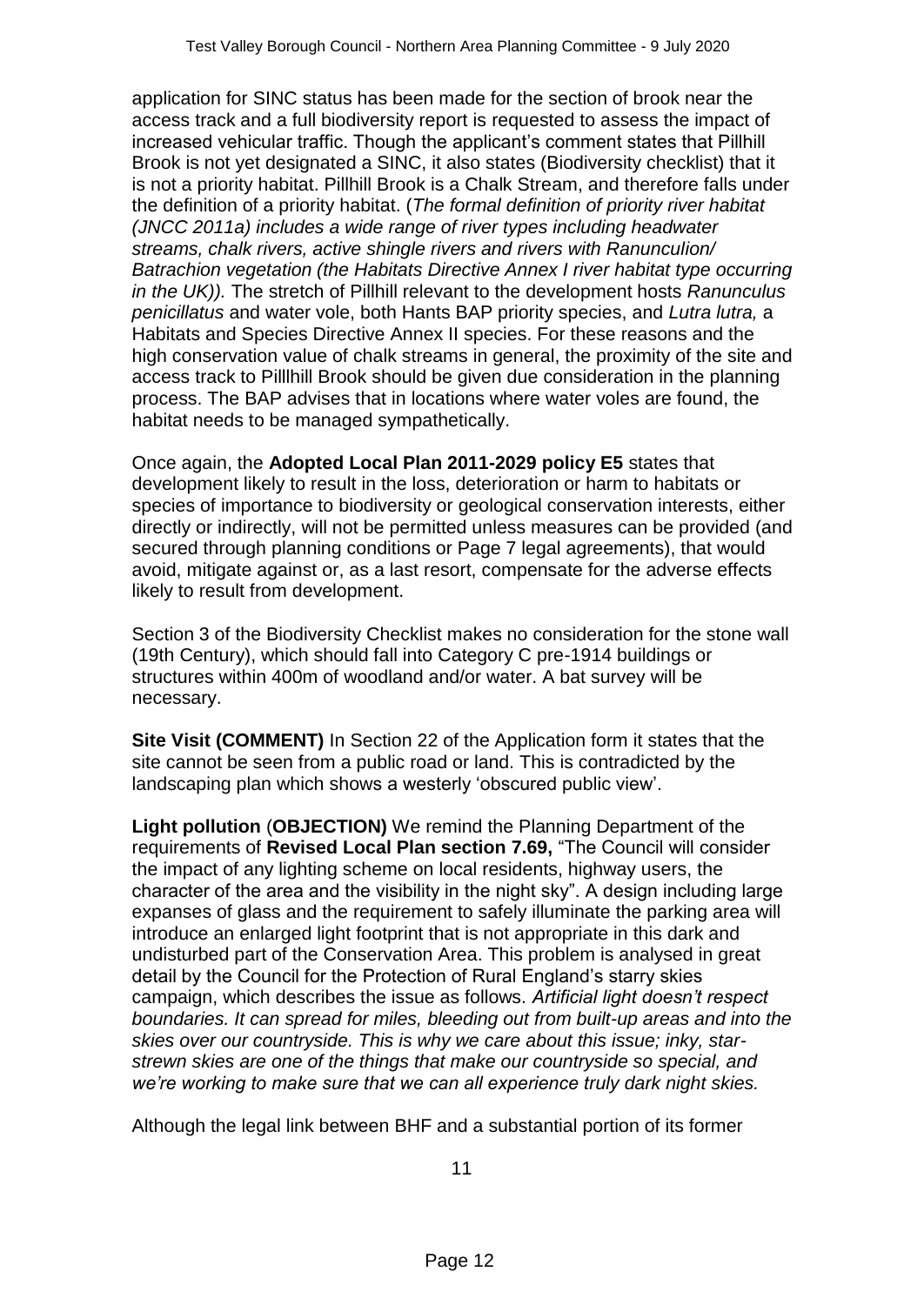application for SINC status has been made for the section of brook near the access track and a full biodiversity report is requested to assess the impact of increased vehicular traffic. Though the applicant's comment states that Pillhill Brook is not yet designated a SINC, it also states (Biodiversity checklist) that it is not a priority habitat. Pillhill Brook is a Chalk Stream, and therefore falls under the definition of a priority habitat. (*The formal definition of priority river habitat (JNCC 2011a) includes a wide range of river types including headwater streams, chalk rivers, active shingle rivers and rivers with Ranunculion/ Batrachion vegetation (the Habitats Directive Annex I river habitat type occurring in the UK)).* The stretch of Pillhill relevant to the development hosts *Ranunculus penicillatus* and water vole, both Hants BAP priority species, and *Lutra lutra,* a Habitats and Species Directive Annex II species. For these reasons and the high conservation value of chalk streams in general, the proximity of the site and access track to Pilllhill Brook should be given due consideration in the planning process. The BAP advises that in locations where water voles are found, the habitat needs to be managed sympathetically.

Once again, the **Adopted Local Plan 2011-2029 policy E5** states that development likely to result in the loss, deterioration or harm to habitats or species of importance to biodiversity or geological conservation interests, either directly or indirectly, will not be permitted unless measures can be provided (and secured through planning conditions or Page 7 legal agreements), that would avoid, mitigate against or, as a last resort, compensate for the adverse effects likely to result from development.

Section 3 of the Biodiversity Checklist makes no consideration for the stone wall (19th Century), which should fall into Category C pre-1914 buildings or structures within 400m of woodland and/or water. A bat survey will be necessary.

**Site Visit (COMMENT)** In Section 22 of the Application form it states that the site cannot be seen from a public road or land. This is contradicted by the landscaping plan which shows a westerly 'obscured public view'.

**Light pollution** (**OBJECTION)** We remind the Planning Department of the requirements of **Revised Local Plan section 7.69,** "The Council will consider the impact of any lighting scheme on local residents, highway users, the character of the area and the visibility in the night sky". A design including large expanses of glass and the requirement to safely illuminate the parking area will introduce an enlarged light footprint that is not appropriate in this dark and undisturbed part of the Conservation Area. This problem is analysed in great detail by the Council for the Protection of Rural England's starry skies campaign, which describes the issue as follows. *Artificial light doesn't respect boundaries. It can spread for miles, bleeding out from built-up areas and into the skies over our countryside. This is why we care about this issue; inky, starstrewn skies are one of the things that make our countryside so special, and we're working to make sure that we can all experience truly dark night skies.*

Although the legal link between BHF and a substantial portion of its former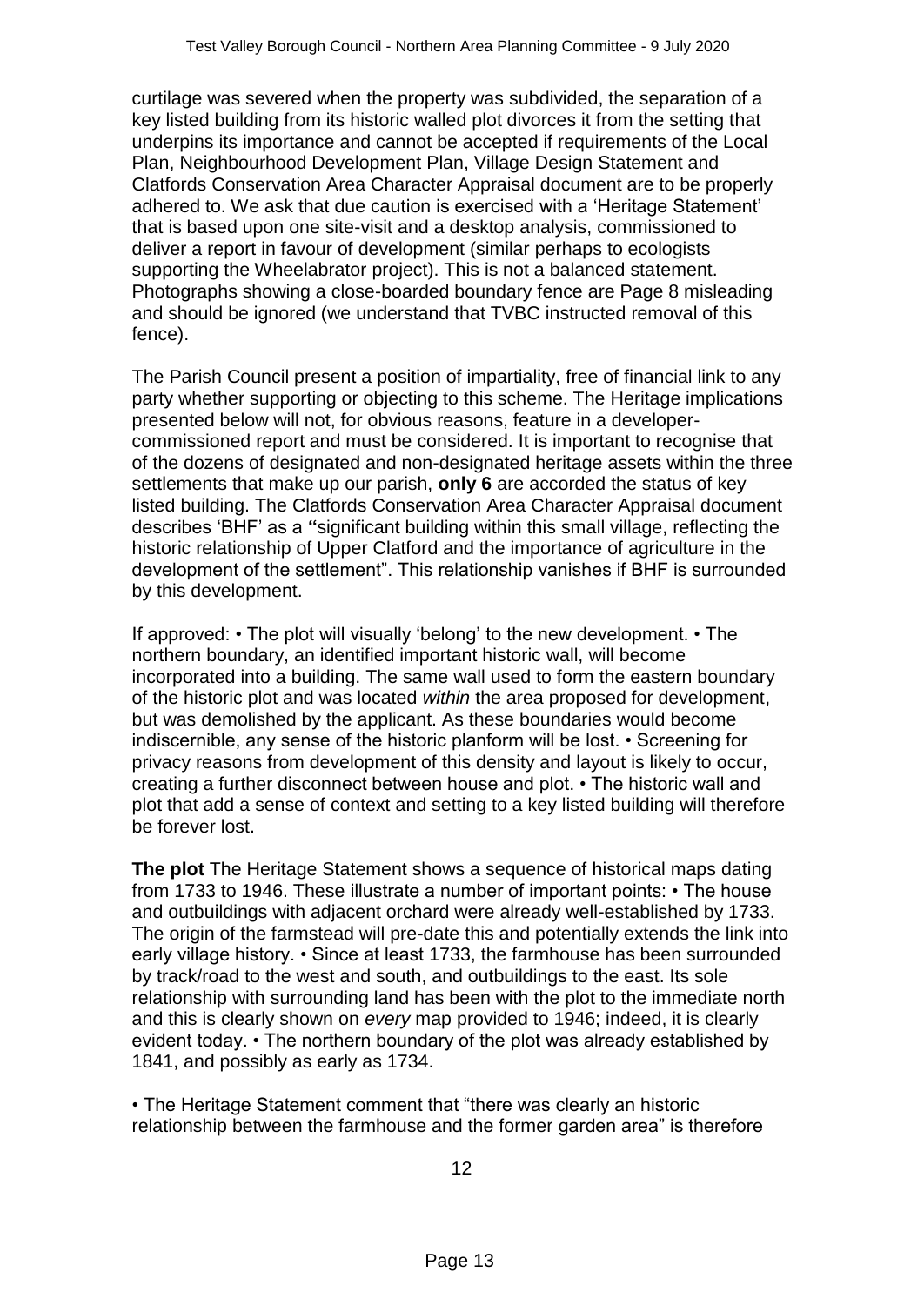curtilage was severed when the property was subdivided, the separation of a key listed building from its historic walled plot divorces it from the setting that underpins its importance and cannot be accepted if requirements of the Local Plan, Neighbourhood Development Plan, Village Design Statement and Clatfords Conservation Area Character Appraisal document are to be properly adhered to. We ask that due caution is exercised with a 'Heritage Statement' that is based upon one site-visit and a desktop analysis, commissioned to deliver a report in favour of development (similar perhaps to ecologists supporting the Wheelabrator project). This is not a balanced statement. Photographs showing a close-boarded boundary fence are Page 8 misleading and should be ignored (we understand that TVBC instructed removal of this fence).

The Parish Council present a position of impartiality, free of financial link to any party whether supporting or objecting to this scheme. The Heritage implications presented below will not, for obvious reasons, feature in a developercommissioned report and must be considered. It is important to recognise that of the dozens of designated and non-designated heritage assets within the three settlements that make up our parish, **only 6** are accorded the status of key listed building. The Clatfords Conservation Area Character Appraisal document describes 'BHF' as a **"**significant building within this small village, reflecting the historic relationship of Upper Clatford and the importance of agriculture in the development of the settlement". This relationship vanishes if BHF is surrounded by this development.

If approved: • The plot will visually 'belong' to the new development. • The northern boundary, an identified important historic wall, will become incorporated into a building. The same wall used to form the eastern boundary of the historic plot and was located *within* the area proposed for development, but was demolished by the applicant. As these boundaries would become indiscernible, any sense of the historic planform will be lost. • Screening for privacy reasons from development of this density and layout is likely to occur, creating a further disconnect between house and plot. • The historic wall and plot that add a sense of context and setting to a key listed building will therefore be forever lost.

**The plot** The Heritage Statement shows a sequence of historical maps dating from 1733 to 1946. These illustrate a number of important points: • The house and outbuildings with adjacent orchard were already well-established by 1733. The origin of the farmstead will pre-date this and potentially extends the link into early village history. • Since at least 1733, the farmhouse has been surrounded by track/road to the west and south, and outbuildings to the east. Its sole relationship with surrounding land has been with the plot to the immediate north and this is clearly shown on *every* map provided to 1946; indeed, it is clearly evident today. • The northern boundary of the plot was already established by 1841, and possibly as early as 1734.

• The Heritage Statement comment that "there was clearly an historic relationship between the farmhouse and the former garden area" is therefore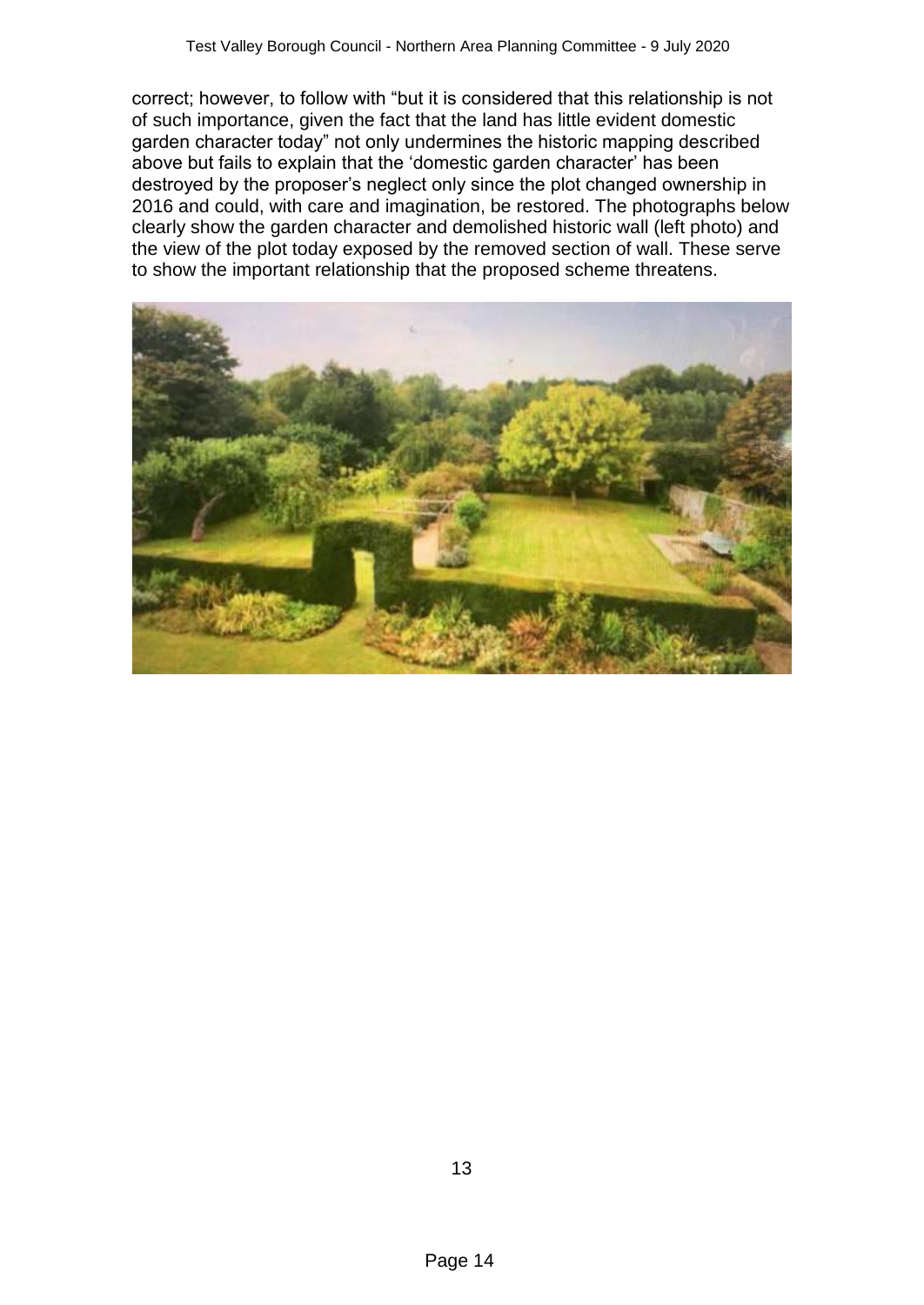correct; however, to follow with "but it is considered that this relationship is not of such importance, given the fact that the land has little evident domestic garden character today" not only undermines the historic mapping described above but fails to explain that the 'domestic garden character' has been destroyed by the proposer's neglect only since the plot changed ownership in 2016 and could, with care and imagination, be restored. The photographs below clearly show the garden character and demolished historic wall (left photo) and the view of the plot today exposed by the removed section of wall. These serve to show the important relationship that the proposed scheme threatens.

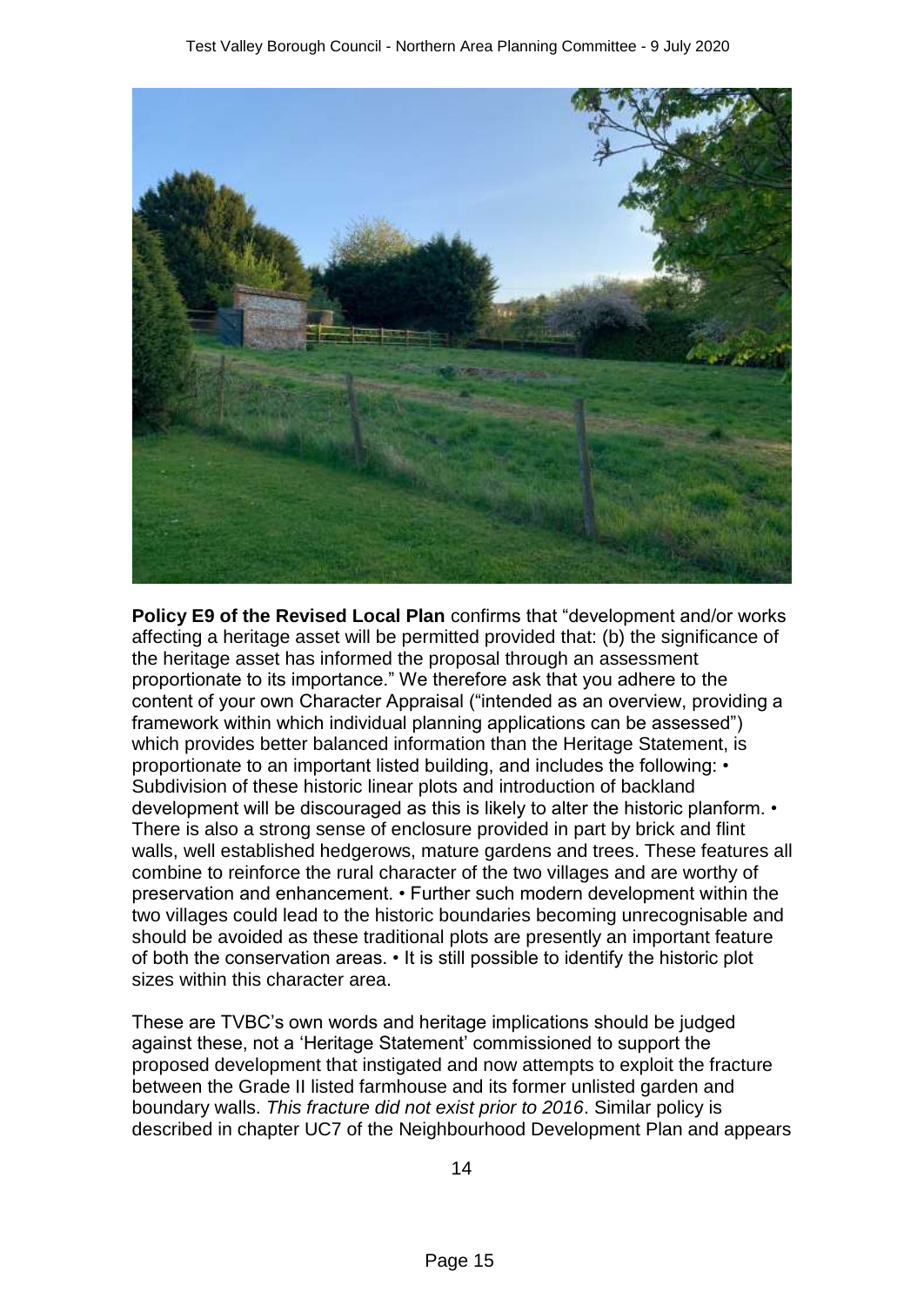

**Policy E9 of the Revised Local Plan** confirms that "development and/or works affecting a heritage asset will be permitted provided that: (b) the significance of the heritage asset has informed the proposal through an assessment proportionate to its importance." We therefore ask that you adhere to the content of your own Character Appraisal ("intended as an overview, providing a framework within which individual planning applications can be assessed") which provides better balanced information than the Heritage Statement, is proportionate to an important listed building, and includes the following: • Subdivision of these historic linear plots and introduction of backland development will be discouraged as this is likely to alter the historic planform. • There is also a strong sense of enclosure provided in part by brick and flint walls, well established hedgerows, mature gardens and trees. These features all combine to reinforce the rural character of the two villages and are worthy of preservation and enhancement. • Further such modern development within the two villages could lead to the historic boundaries becoming unrecognisable and should be avoided as these traditional plots are presently an important feature of both the conservation areas. • It is still possible to identify the historic plot sizes within this character area.

These are TVBC's own words and heritage implications should be judged against these, not a 'Heritage Statement' commissioned to support the proposed development that instigated and now attempts to exploit the fracture between the Grade II listed farmhouse and its former unlisted garden and boundary walls. *This fracture did not exist prior to 2016*. Similar policy is described in chapter UC7 of the Neighbourhood Development Plan and appears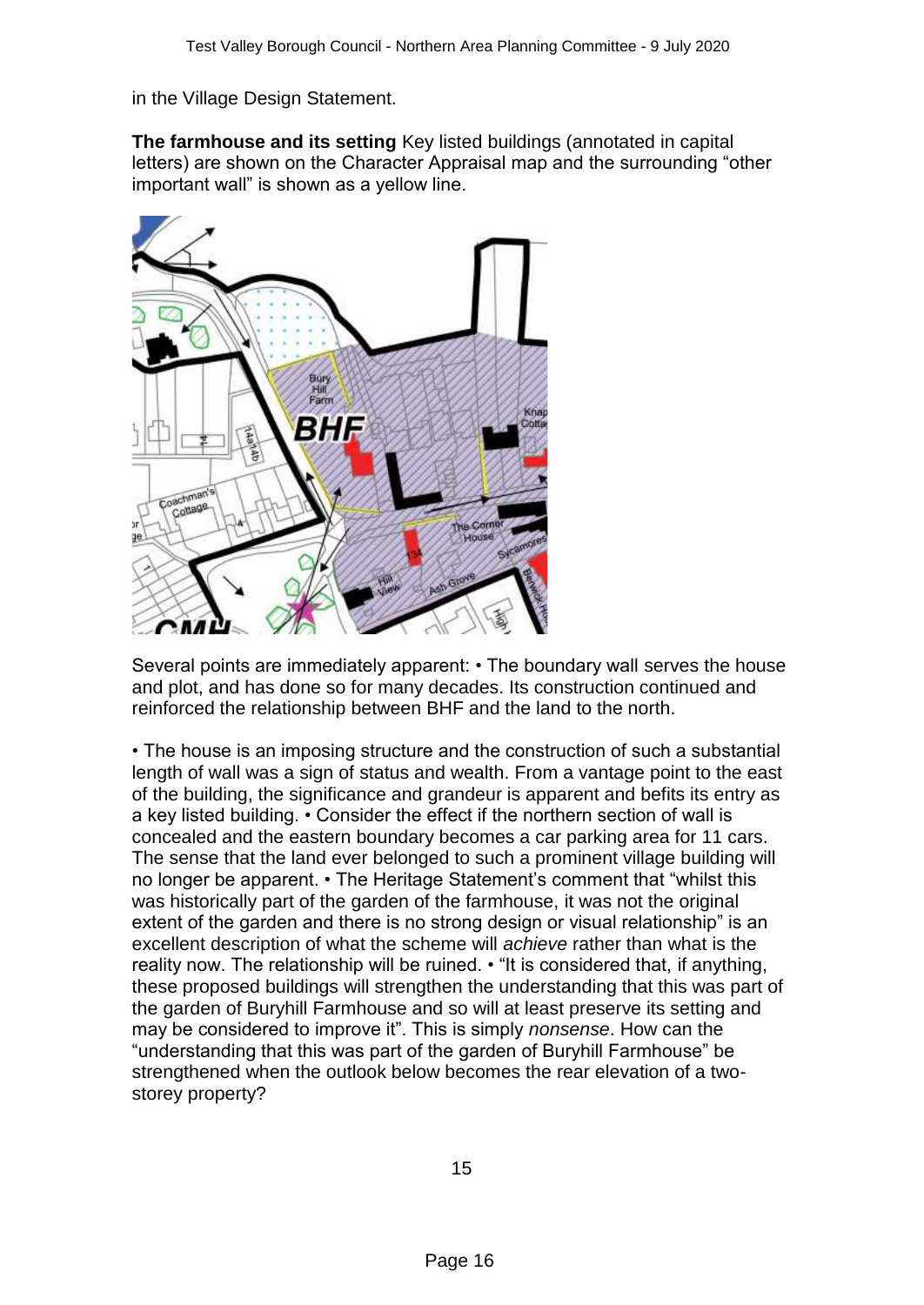in the Village Design Statement.

**The farmhouse and its setting** Key listed buildings (annotated in capital letters) are shown on the Character Appraisal map and the surrounding "other important wall" is shown as a yellow line.



Several points are immediately apparent: • The boundary wall serves the house and plot, and has done so for many decades. Its construction continued and reinforced the relationship between BHF and the land to the north.

• The house is an imposing structure and the construction of such a substantial length of wall was a sign of status and wealth. From a vantage point to the east of the building, the significance and grandeur is apparent and befits its entry as a key listed building. • Consider the effect if the northern section of wall is concealed and the eastern boundary becomes a car parking area for 11 cars. The sense that the land ever belonged to such a prominent village building will no longer be apparent. • The Heritage Statement's comment that "whilst this was historically part of the garden of the farmhouse, it was not the original extent of the garden and there is no strong design or visual relationship" is an excellent description of what the scheme will *achieve* rather than what is the reality now. The relationship will be ruined. • "It is considered that, if anything, these proposed buildings will strengthen the understanding that this was part of the garden of Buryhill Farmhouse and so will at least preserve its setting and may be considered to improve it". This is simply *nonsense*. How can the "understanding that this was part of the garden of Buryhill Farmhouse" be strengthened when the outlook below becomes the rear elevation of a twostorey property?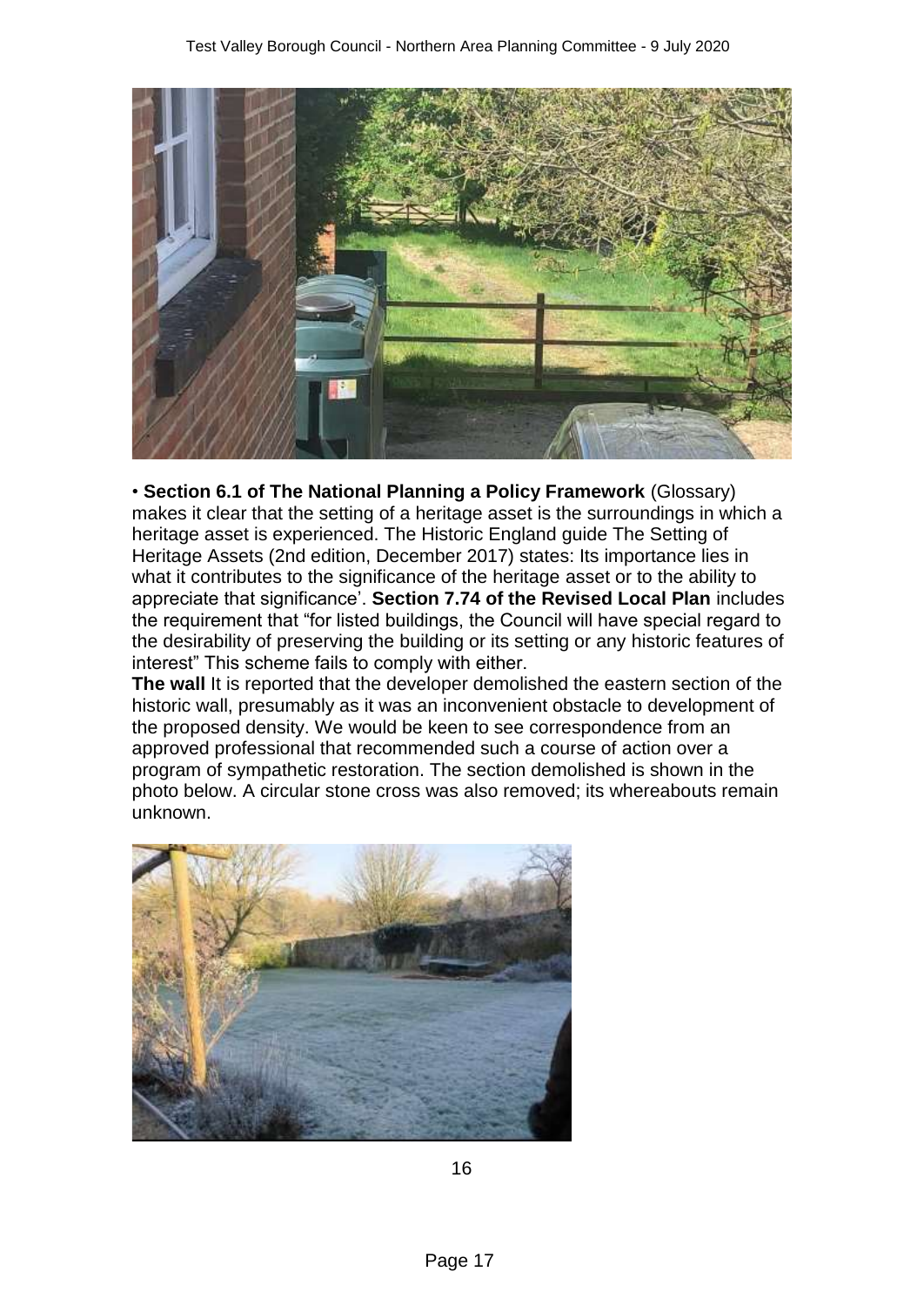

• **Section 6.1 of The National Planning a Policy Framework** (Glossary) makes it clear that the setting of a heritage asset is the surroundings in which a heritage asset is experienced. The Historic England guide The Setting of Heritage Assets (2nd edition, December 2017) states: Its importance lies in what it contributes to the significance of the heritage asset or to the ability to appreciate that significance'. **Section 7.74 of the Revised Local Plan** includes the requirement that "for listed buildings, the Council will have special regard to the desirability of preserving the building or its setting or any historic features of interest" This scheme fails to comply with either.

**The wall** It is reported that the developer demolished the eastern section of the historic wall, presumably as it was an inconvenient obstacle to development of the proposed density. We would be keen to see correspondence from an approved professional that recommended such a course of action over a program of sympathetic restoration. The section demolished is shown in the photo below. A circular stone cross was also removed; its whereabouts remain unknown.



16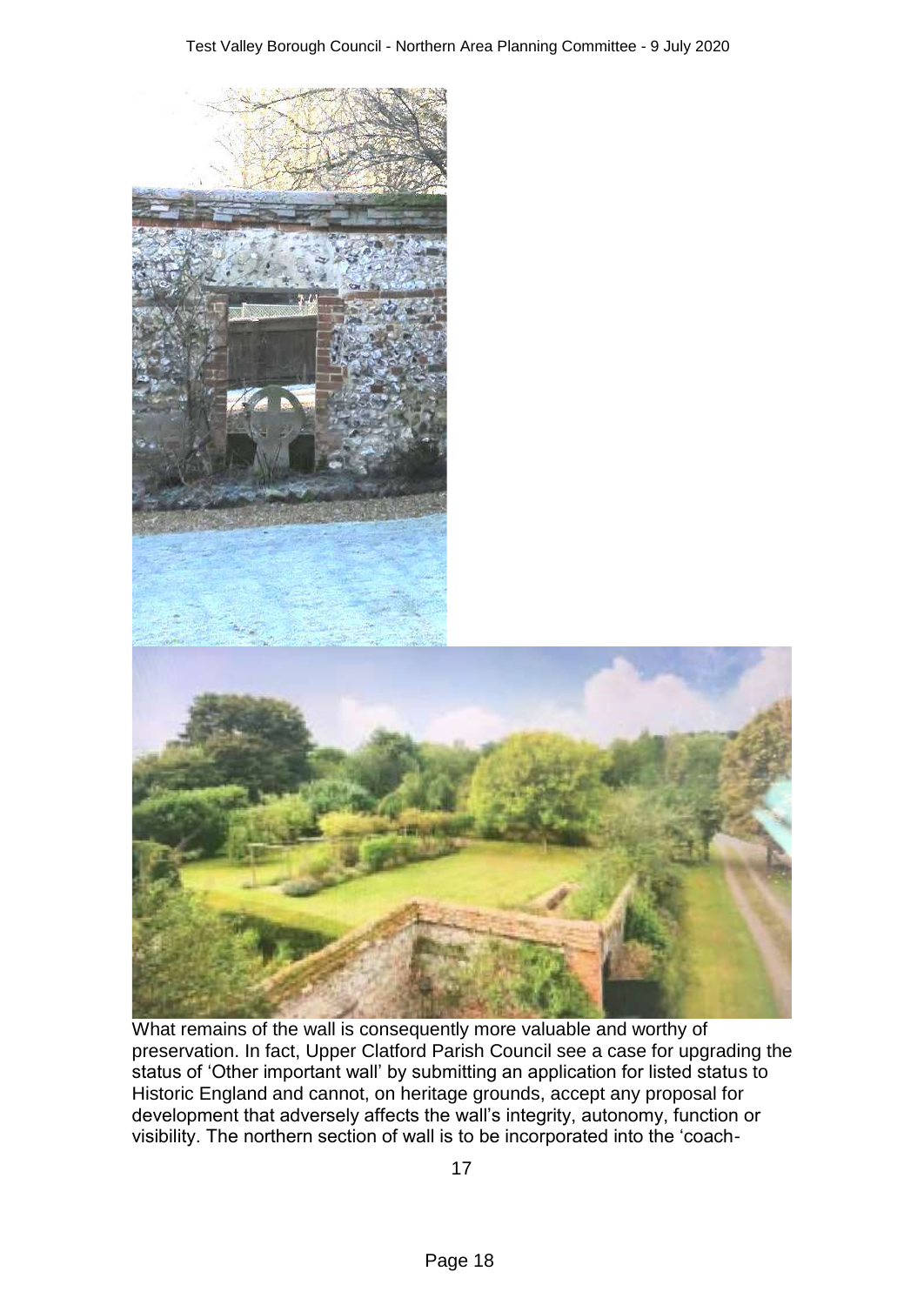

What remains of the wall is consequently more valuable and worthy of preservation. In fact, Upper Clatford Parish Council see a case for upgrading the status of 'Other important wall' by submitting an application for listed status to Historic England and cannot, on heritage grounds, accept any proposal for development that adversely affects the wall's integrity, autonomy, function or visibility. The northern section of wall is to be incorporated into the 'coach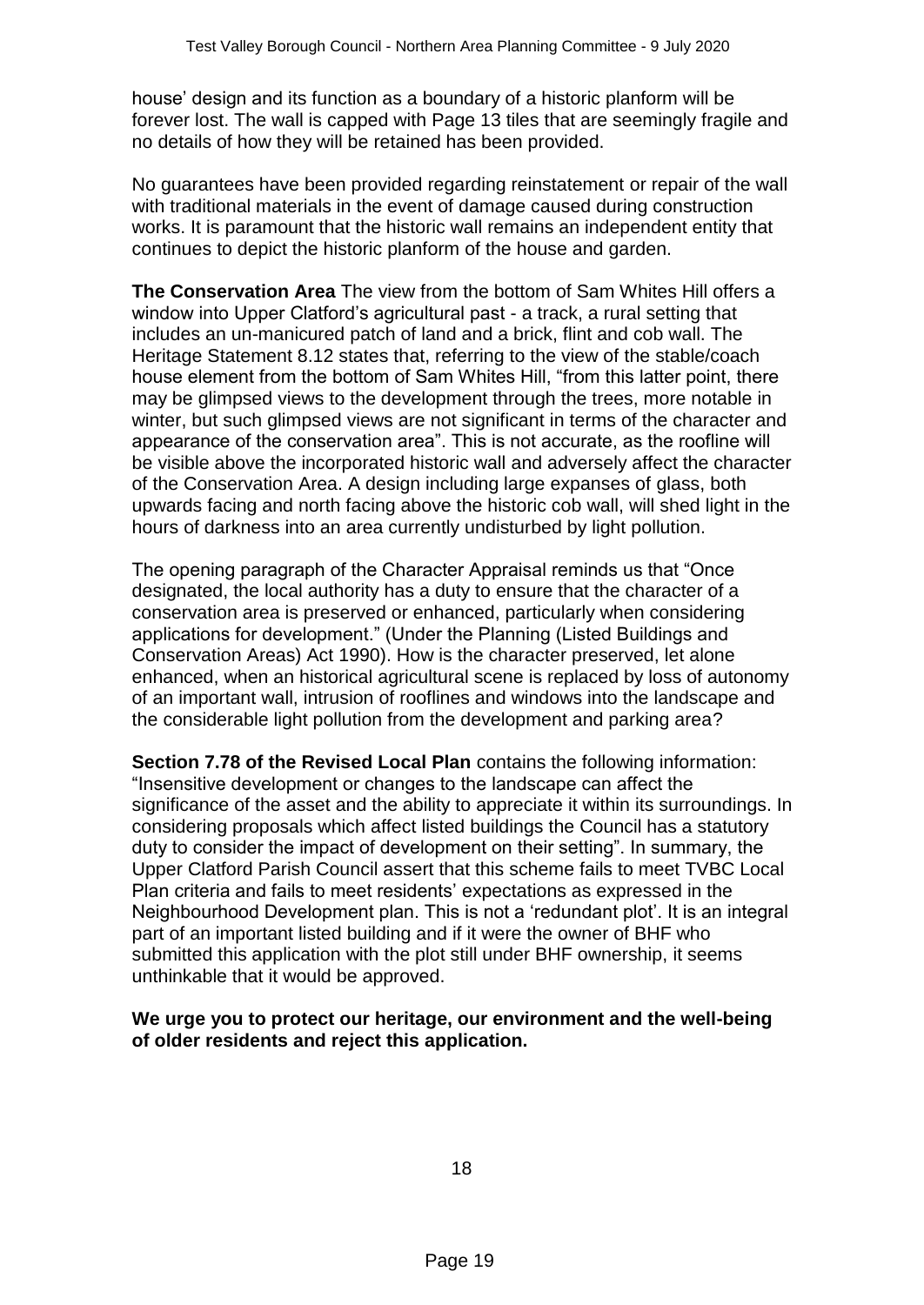house' design and its function as a boundary of a historic planform will be forever lost. The wall is capped with Page 13 tiles that are seemingly fragile and no details of how they will be retained has been provided.

No guarantees have been provided regarding reinstatement or repair of the wall with traditional materials in the event of damage caused during construction works. It is paramount that the historic wall remains an independent entity that continues to depict the historic planform of the house and garden.

**The Conservation Area** The view from the bottom of Sam Whites Hill offers a window into Upper Clatford's agricultural past - a track, a rural setting that includes an un-manicured patch of land and a brick, flint and cob wall. The Heritage Statement 8.12 states that, referring to the view of the stable/coach house element from the bottom of Sam Whites Hill, "from this latter point, there may be glimpsed views to the development through the trees, more notable in winter, but such glimpsed views are not significant in terms of the character and appearance of the conservation area". This is not accurate, as the roofline will be visible above the incorporated historic wall and adversely affect the character of the Conservation Area. A design including large expanses of glass, both upwards facing and north facing above the historic cob wall, will shed light in the hours of darkness into an area currently undisturbed by light pollution.

The opening paragraph of the Character Appraisal reminds us that "Once designated, the local authority has a duty to ensure that the character of a conservation area is preserved or enhanced, particularly when considering applications for development." (Under the Planning (Listed Buildings and Conservation Areas) Act 1990). How is the character preserved, let alone enhanced, when an historical agricultural scene is replaced by loss of autonomy of an important wall, intrusion of rooflines and windows into the landscape and the considerable light pollution from the development and parking area?

**Section 7.78 of the Revised Local Plan** contains the following information: "Insensitive development or changes to the landscape can affect the significance of the asset and the ability to appreciate it within its surroundings. In considering proposals which affect listed buildings the Council has a statutory duty to consider the impact of development on their setting". In summary, the Upper Clatford Parish Council assert that this scheme fails to meet TVBC Local Plan criteria and fails to meet residents' expectations as expressed in the Neighbourhood Development plan. This is not a 'redundant plot'. It is an integral part of an important listed building and if it were the owner of BHF who submitted this application with the plot still under BHF ownership, it seems unthinkable that it would be approved.

**We urge you to protect our heritage, our environment and the well-being of older residents and reject this application.**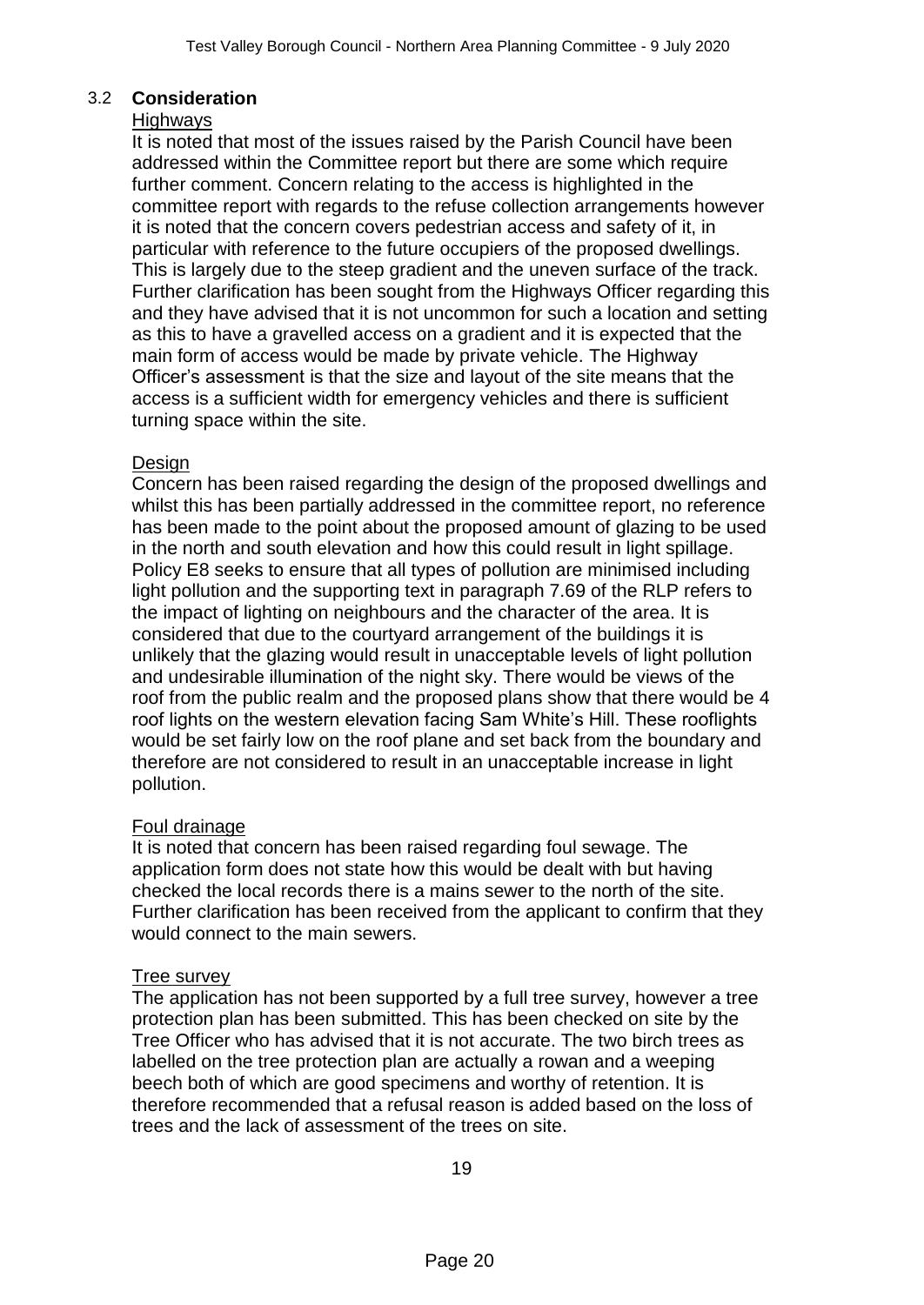## 3.2 **Consideration**

## **Highways**

It is noted that most of the issues raised by the Parish Council have been addressed within the Committee report but there are some which require further comment. Concern relating to the access is highlighted in the committee report with regards to the refuse collection arrangements however it is noted that the concern covers pedestrian access and safety of it, in particular with reference to the future occupiers of the proposed dwellings. This is largely due to the steep gradient and the uneven surface of the track. Further clarification has been sought from the Highways Officer regarding this and they have advised that it is not uncommon for such a location and setting as this to have a gravelled access on a gradient and it is expected that the main form of access would be made by private vehicle. The Highway Officer's assessment is that the size and layout of the site means that the access is a sufficient width for emergency vehicles and there is sufficient turning space within the site.

## Design

Concern has been raised regarding the design of the proposed dwellings and whilst this has been partially addressed in the committee report, no reference has been made to the point about the proposed amount of glazing to be used in the north and south elevation and how this could result in light spillage. Policy E8 seeks to ensure that all types of pollution are minimised including light pollution and the supporting text in paragraph 7.69 of the RLP refers to the impact of lighting on neighbours and the character of the area. It is considered that due to the courtyard arrangement of the buildings it is unlikely that the glazing would result in unacceptable levels of light pollution and undesirable illumination of the night sky. There would be views of the roof from the public realm and the proposed plans show that there would be 4 roof lights on the western elevation facing Sam White's Hill. These rooflights would be set fairly low on the roof plane and set back from the boundary and therefore are not considered to result in an unacceptable increase in light pollution.

## Foul drainage

It is noted that concern has been raised regarding foul sewage. The application form does not state how this would be dealt with but having checked the local records there is a mains sewer to the north of the site. Further clarification has been received from the applicant to confirm that they would connect to the main sewers.

#### Tree survey

The application has not been supported by a full tree survey, however a tree protection plan has been submitted. This has been checked on site by the Tree Officer who has advised that it is not accurate. The two birch trees as labelled on the tree protection plan are actually a rowan and a weeping beech both of which are good specimens and worthy of retention. It is therefore recommended that a refusal reason is added based on the loss of trees and the lack of assessment of the trees on site.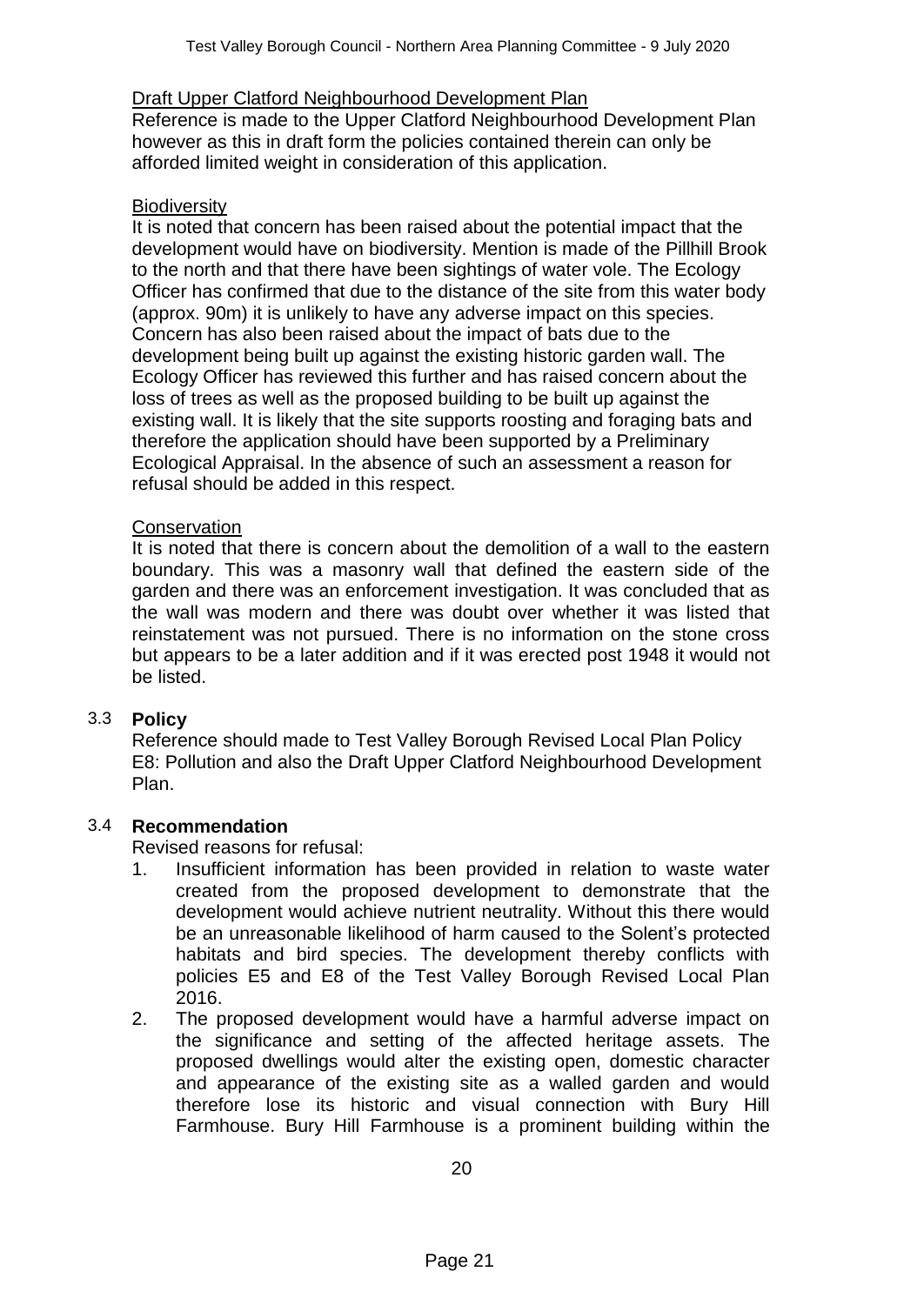## Draft Upper Clatford Neighbourhood Development Plan

Reference is made to the Upper Clatford Neighbourhood Development Plan however as this in draft form the policies contained therein can only be afforded limited weight in consideration of this application.

#### **Biodiversity**

It is noted that concern has been raised about the potential impact that the development would have on biodiversity. Mention is made of the Pillhill Brook to the north and that there have been sightings of water vole. The Ecology Officer has confirmed that due to the distance of the site from this water body (approx. 90m) it is unlikely to have any adverse impact on this species. Concern has also been raised about the impact of bats due to the development being built up against the existing historic garden wall. The Ecology Officer has reviewed this further and has raised concern about the loss of trees as well as the proposed building to be built up against the existing wall. It is likely that the site supports roosting and foraging bats and therefore the application should have been supported by a Preliminary Ecological Appraisal. In the absence of such an assessment a reason for refusal should be added in this respect.

#### **Conservation**

It is noted that there is concern about the demolition of a wall to the eastern boundary. This was a masonry wall that defined the eastern side of the garden and there was an enforcement investigation. It was concluded that as the wall was modern and there was doubt over whether it was listed that reinstatement was not pursued. There is no information on the stone cross but appears to be a later addition and if it was erected post 1948 it would not be listed.

## 3.3 **Policy**

Reference should made to Test Valley Borough Revised Local Plan Policy E8: Pollution and also the Draft Upper Clatford Neighbourhood Development Plan.

## 3.4 **Recommendation**

Revised reasons for refusal:

- 1. Insufficient information has been provided in relation to waste water created from the proposed development to demonstrate that the development would achieve nutrient neutrality. Without this there would be an unreasonable likelihood of harm caused to the Solent's protected habitats and bird species. The development thereby conflicts with policies E5 and E8 of the Test Valley Borough Revised Local Plan 2016.
- 2. The proposed development would have a harmful adverse impact on the significance and setting of the affected heritage assets. The proposed dwellings would alter the existing open, domestic character and appearance of the existing site as a walled garden and would therefore lose its historic and visual connection with Bury Hill Farmhouse. Bury Hill Farmhouse is a prominent building within the